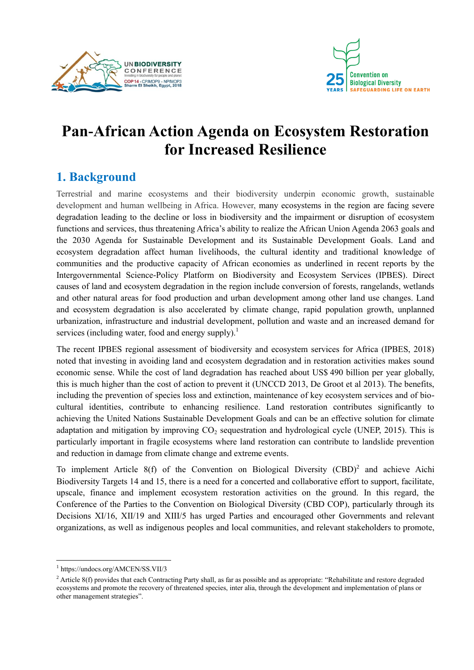



# **Pan-African Action Agenda on Ecosystem Restoration for Increased Resilience**

## **1. Background**

Terrestrial and marine ecosystems and their biodiversity underpin economic growth, sustainable development and human wellbeing in Africa. However, many ecosystems in the region are facing severe degradation leading to the decline or loss in biodiversity and the impairment or disruption of ecosystem functions and services, thus threatening Africa's ability to realize the African Union Agenda 2063 goals and the 2030 Agenda for Sustainable Development and its Sustainable Development Goals. Land and ecosystem degradation affect human livelihoods, the cultural identity and traditional knowledge of communities and the productive capacity of African economies as underlined in recent reports by the Intergovernmental Science-Policy Platform on Biodiversity and Ecosystem Services (IPBES). Direct causes of land and ecosystem degradation in the region include conversion of forests, rangelands, wetlands and other natural areas for food production and urban development among other land use changes. Land and ecosystem degradation is also accelerated by climate change, rapid population growth, unplanned urbanization, infrastructure and industrial development, pollution and waste and an increased demand for services (including water, food and energy supply).<sup>1</sup>

The recent IPBES regional assessment of biodiversity and ecosystem services for Africa (IPBES, 2018) noted that investing in avoiding land and ecosystem degradation and in restoration activities makes sound economic sense. While the cost of land degradation has reached about US\$ 490 billion per year globally, this is much higher than the cost of action to prevent it (UNCCD 2013, De Groot et al 2013). The benefits, including the prevention of species loss and extinction, maintenance of key ecosystem services and of biocultural identities, contribute to enhancing resilience. Land restoration contributes significantly to achieving the United Nations Sustainable Development Goals and can be an effective solution for climate adaptation and mitigation by improving  $CO<sub>2</sub>$  sequestration and hydrological cycle (UNEP, 2015). This is particularly important in fragile ecosystems where land restoration can contribute to landslide prevention and reduction in damage from climate change and extreme events.

To implement Article  $8(f)$  of the Convention on Biological Diversity  $(CBD)^2$  and achieve Aichi Biodiversity Targets 14 and 15, there is a need for a concerted and collaborative effort to support, facilitate, upscale, finance and implement ecosystem restoration activities on the ground. In this regard, the Conference of the Parties to the Convention on Biological Diversity (CBD COP), particularly through its Decisions XI/16, XII/19 and XIII/5 has urged Parties and encouraged other Governments and relevant organizations, as well as indigenous peoples and local communities, and relevant stakeholders to promote,

<sup>1</sup> https://undocs.org/AMCEN/SS.VII/3

<sup>&</sup>lt;sup>2</sup> Article 8(f) provides that each Contracting Party shall, as far as possible and as appropriate: "Rehabilitate and restore degraded ecosystems and promote the recovery of threatened species, inter alia, through the development and implementation of plans or other management strategies".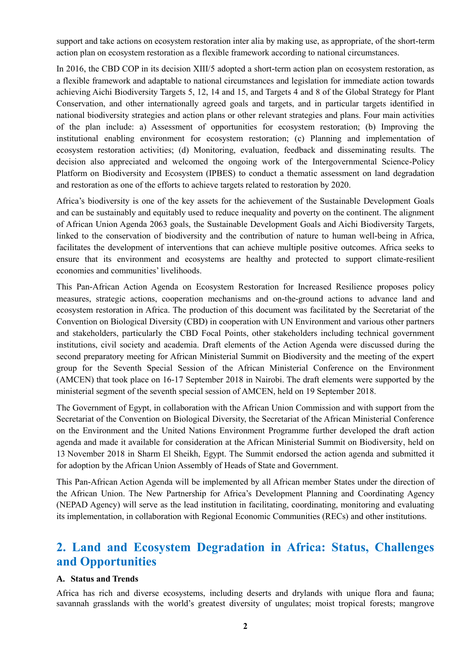support and take actions on ecosystem restoration inter alia by making use, as appropriate, of the short-term action plan on ecosystem restoration as a flexible framework according to national circumstances.

In 2016, the CBD COP in its decision XIII/5 adopted a short-term action plan on ecosystem restoration, as a flexible framework and adaptable to national circumstances and legislation for immediate action towards achieving Aichi Biodiversity Targets 5, 12, 14 and 15, and Targets 4 and 8 of the Global Strategy for Plant Conservation, and other internationally agreed goals and targets, and in particular targets identified in national biodiversity strategies and action plans or other relevant strategies and plans. Four main activities of the plan include: a) Assessment of opportunities for ecosystem restoration; (b) Improving the institutional enabling environment for ecosystem restoration; (c) Planning and implementation of ecosystem restoration activities; (d) Monitoring, evaluation, feedback and disseminating results. The decision also appreciated and welcomed the ongoing work of the Intergovernmental Science-Policy Platform on Biodiversity and Ecosystem (IPBES) to conduct a thematic assessment on land degradation and restoration as one of the efforts to achieve targets related to restoration by 2020.

Africa's biodiversity is one of the key assets for the achievement of the Sustainable Development Goals and can be sustainably and equitably used to reduce inequality and poverty on the continent. The alignment of African Union Agenda 2063 goals, the Sustainable Development Goals and Aichi Biodiversity Targets, linked to the conservation of biodiversity and the contribution of nature to human well-being in Africa, facilitates the development of interventions that can achieve multiple positive outcomes. Africa seeks to ensure that its environment and ecosystems are healthy and protected to support climate-resilient economies and communities' livelihoods.

This Pan-African Action Agenda on Ecosystem Restoration for Increased Resilience proposes policy measures, strategic actions, cooperation mechanisms and on-the-ground actions to advance land and ecosystem restoration in Africa. The production of this document was facilitated by the Secretariat of the Convention on Biological Diversity (CBD) in cooperation with UN Environment and various other partners and stakeholders, particularly the CBD Focal Points, other stakeholders including technical government institutions, civil society and academia. Draft elements of the Action Agenda were discussed during the second preparatory meeting for African Ministerial Summit on Biodiversity and the meeting of the expert group for the Seventh Special Session of the African Ministerial Conference on the Environment (AMCEN) that took place on 16-17 September 2018 in Nairobi. The draft elements were supported by the ministerial segment of the seventh special session of AMCEN, held on 19 September 2018.

The Government of Egypt, in collaboration with the African Union Commission and with support from the Secretariat of the Convention on Biological Diversity, the Secretariat of the African Ministerial Conference on the Environment and the United Nations Environment Programme further developed the draft action agenda and made it available for consideration at the African Ministerial Summit on Biodiversity, held on 13 November 2018 in Sharm El Sheikh, Egypt. The Summit endorsed the action agenda and submitted it for adoption by the African Union Assembly of Heads of State and Government.

This Pan-African Action Agenda will be implemented by all African member States under the direction of the African Union. The New Partnership for Africa's Development Planning and Coordinating Agency (NEPAD Agency) will serve as the lead institution in facilitating, coordinating, monitoring and evaluating its implementation, in collaboration with Regional Economic Communities (RECs) and other institutions.

## **2. Land and Ecosystem Degradation in Africa: Status, Challenges and Opportunities**

#### **A. Status and Trends**

Africa has rich and diverse ecosystems, including deserts and drylands with unique flora and fauna; savannah grasslands with the world's greatest diversity of ungulates; moist tropical forests; mangrove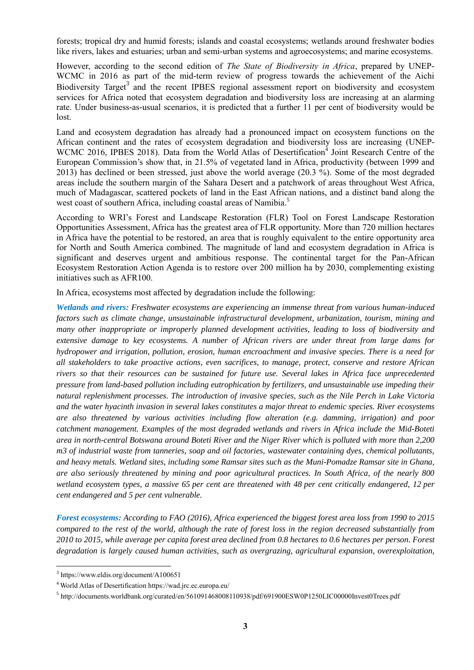forests; tropical dry and humid forests; islands and coastal ecosystems; wetlands around freshwater bodies like rivers, lakes and estuaries; urban and semi-urban systems and agroecosystems; and marine ecosystems.

However, according to the second edition of *The State of Biodiversity in Africa*, prepared by UNEP-WCMC in 2016 as part of the mid-term review of progress towards the achievement of the Aichi Biodiversity Target<sup>3</sup> and the recent IPBES regional assessment report on biodiversity and ecosystem services for Africa noted that ecosystem degradation and biodiversity loss are increasing at an alarming rate. Under business-as-usual scenarios, it is predicted that a further 11 per cent of biodiversity would be lost.

Land and ecosystem degradation has already had a pronounced impact on ecosystem functions on the African continent and the rates of ecosystem degradation and biodiversity loss are increasing (UNEP-WCMC 2016, IPBES 2018). Data from the World Atlas of Desertification<sup>4</sup> Joint Research Centre of the European Commission's show that, in 21.5% of vegetated land in Africa, productivity (between 1999 and 2013) has declined or been stressed, just above the world average (20.3 %). Some of the most degraded areas include the southern margin of the Sahara Desert and a patchwork of areas throughout West Africa, much of Madagascar, scattered pockets of land in the East African nations, and a distinct band along the west coast of southern Africa, including coastal areas of Namibia.<sup>5</sup>

According to WRI's Forest and Landscape Restoration (FLR) Tool on Forest Landscape Restoration Opportunities Assessment, Africa has the greatest area of FLR opportunity. More than 720 million hectares in Africa have the potential to be restored, an area that is roughly equivalent to the entire opportunity area for North and South America combined. The magnitude of land and ecosystem degradation in Africa is significant and deserves urgent and ambitious response. The continental target for the Pan-African Ecosystem Restoration Action Agenda is to restore over 200 million ha by 2030, complementing existing initiatives such as AFR100.

In Africa, ecosystems most affected by degradation include the following:

*Wetlands and rivers: Freshwater ecosystems are experiencing an immense threat from various human-induced factors such as climate change, unsustainable infrastructural development, urbanization, tourism, mining and many other inappropriate or improperly planned development activities, leading to loss of biodiversity and extensive damage to key ecosystems. A number of African rivers are under threat from large dams for hydropower and irrigation, pollution, erosion, human encroachment and invasive species. There is a need for all stakeholders to take proactive actions, even sacrifices, to manage, protect, conserve and restore African rivers so that their resources can be sustained for future use. Several lakes in Africa face unprecedented pressure from land-based pollution including eutrophication by fertilizers, and unsustainable use impeding their natural replenishment processes. The introduction of invasive species, such as the Nile Perch in Lake Victoria and the water hyacinth invasion in several lakes constitutes a major threat to endemic species. River ecosystems are also threatened by various activities including flow alteration (e.g. damming, irrigation) and poor catchment management. Examples of the most degraded wetlands and rivers in Africa include the Mid-Boteti area in north-central Botswana around Boteti River and the Niger River which is polluted with more than 2,200 m3 of industrial waste from tanneries, soap and oil factories, wastewater containing dyes, chemical pollutants, and heavy metals. Wetland sites, including some Ramsar sites such as the Muni-Pomadze Ramsar site in Ghana, are also seriously threatened by mining and poor agricultural practices. In South Africa, of the nearly 800 wetland ecosystem types, a massive 65 per cent are threatened with 48 per cent critically endangered, 12 per cent endangered and 5 per cent vulnerable.*

*Forest ecosystems: According to FAO (2016), Africa experienced the biggest forest area loss from 1990 to 2015 compared to the rest of the world, although the rate of forest loss in the region decreased substantially from 2010 to 2015, while average per capita forest area declined from 0.8 hectares to 0.6 hectares per person. Forest degradation is largely caused human activities, such as overgrazing, agricultural expansion, overexploitation,* 

<sup>3</sup> https://www.eldis.org/document/A100651

<sup>4</sup> World Atlas of Desertification https://wad.jrc.ec.europa.eu/

<sup>&</sup>lt;sup>5</sup> http://documents.worldbank.org/curated/en/561091468008110938/pdf/691900ESW0P1250LIC00000Invest0Trees.pdf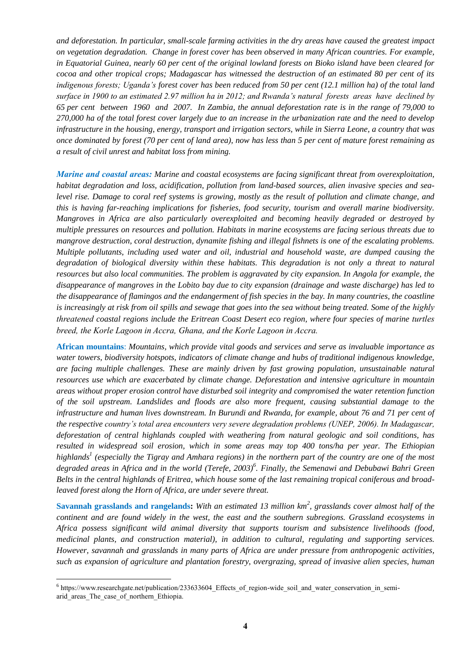*and deforestation. In particular, small-scale farming activities in the dry areas have caused the greatest impact on vegetation degradation. Change in forest cover has been observed in many African countries. For example, in Equatorial Guinea, nearly 60 per cent of the original lowland forests on Bioko island have been cleared for cocoa and other tropical crops; Madagascar has witnessed the destruction of an estimated 80 per cent of its indigenous forests; Uganda's forest cover has been reduced from 50 per cent (12.1 million ha) of the total land surface in 1900 to an estimated 2.97 million ha in 2012; and Rwanda's natural forests areas have declined by 65 per cent between 1960 and 2007. In Zambia, the annual deforestation rate is in the range of 79,000 to 270,000 ha of the total forest cover largely due to an increase in the urbanization rate and the need to develop infrastructure in the housing, energy, transport and irrigation sectors, while in Sierra Leone, a country that was once dominated by forest (70 per cent of land area), now has less than 5 per cent of mature forest remaining as a result of civil unrest and habitat loss from mining.*

*Marine and coastal areas: Marine and coastal ecosystems are facing significant threat from overexploitation, habitat degradation and loss, acidification, pollution from land-based sources, alien invasive species and sealevel rise. Damage to coral reef systems is growing, mostly as the result of pollution and climate change, and this is having far-reaching implications for fisheries, food security, tourism and overall marine biodiversity. Mangroves in Africa are also particularly overexploited and becoming heavily degraded or destroyed by multiple pressures on resources and pollution. Habitats in marine ecosystems are facing serious threats due to mangrove destruction, coral destruction, dynamite fishing and illegal fishnets is one of the escalating problems. Multiple pollutants, including used water and oil, industrial and household waste, are dumped causing the degradation of biological diversity within these habitats. This degradation is not only a threat to natural resources but also local communities. The problem is aggravated by city expansion. In Angola for example, the disappearance of mangroves in the Lobito bay due to city expansion (drainage and waste discharge) has led to the disappearance of flamingos and the endangerment of fish species in the bay. In many countries, the coastline is increasingly at risk from oil spills and sewage that goes into the sea without being treated. Some of the highly threatened coastal regions include the Eritrean Coast Desert eco region, where four species of marine turtles breed, the Korle Lagoon in Accra, Ghana, and the Korle Lagoon in Accra.*

**African mountains**: *Mountains, which provide vital goods and services and serve as invaluable importance as water towers, biodiversity hotspots, indicators of climate change and hubs of traditional indigenous knowledge, are facing multiple challenges. These are mainly driven by fast growing population, unsustainable natural resources use which are exacerbated by climate change. Deforestation and intensive agriculture in mountain areas without proper erosion control have disturbed soil integrity and compromised the water retention function of the soil upstream. Landslides and floods are also more frequent, causing substantial damage to the infrastructure and human lives downstream. In Burundi and Rwanda, for example, about 76 and 71 per cent of the respective country's total area encounters very severe degradation problems (UNEP, 2006). In Madagascar, deforestation of central highlands coupled with weathering from natural geologic and soil conditions, has resulted in widespread soil erosion, which in some areas may top 400 tons/ha per year. The Ethiopian highlands<sup>1</sup> (especially the Tigray and Amhara regions) in the northern part of the country are one of the most degraded areas in Africa and in the world (Terefe, 2003)<sup>6</sup> . Finally, the Semenawi and Debubawi Bahri Green Belts in the central highlands of Eritrea, which house some of the last remaining tropical coniferous and broadleaved forest along the Horn of Africa, are under severe threat.*

**Savannah grasslands and rangelands:** *With an estimated 13 million km<sup>2</sup> , grasslands cover almost half of the continent and are found widely in the west, the east and the southern subregions. Grassland ecosystems in Africa possess significant wild animal diversity that supports tourism and subsistence livelihoods (food, medicinal plants, and construction material), in addition to cultural, regulating and supporting services. However, savannah and grasslands in many parts of Africa are under pressure from anthropogenic activities, such as expansion of agriculture and plantation forestry, overgrazing, spread of invasive alien species, human* 

 $\overline{a}$ <sup>6</sup> https://www.researchgate.net/publication/233633604 Effects of region-wide soil and water conservation in semiarid areas The case of northern Ethiopia.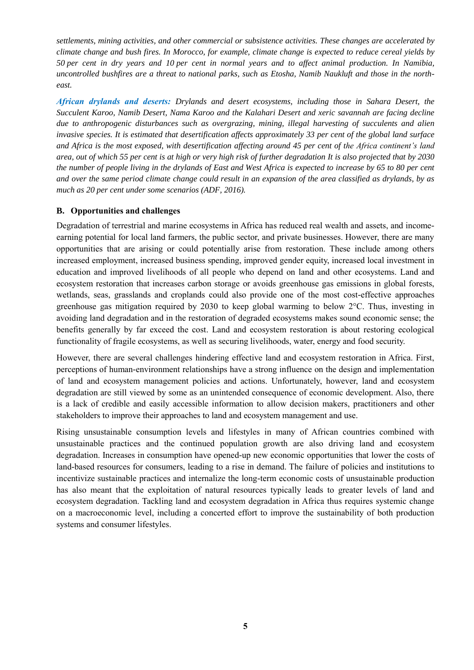*settlements, mining activities, and other commercial or subsistence activities. These changes are accelerated by climate change and bush fires. In Morocco, for example, climate change is expected to reduce cereal yields by 50 per cent in dry years and 10 per cent in normal years and to affect animal production. In Namibia, uncontrolled bushfires are a threat to national parks, such as Etosha, Namib Naukluft and those in the northeast.*

*African drylands and deserts: Drylands and desert ecosystems, including those in Sahara Desert, the Succulent Karoo, Namib Desert, Nama Karoo and the Kalahari Desert and xeric savannah are facing decline due to anthropogenic disturbances such as overgrazing, mining, illegal harvesting of succulents and alien invasive species. It is estimated that desertification affects approximately 33 per cent of the global land surface and Africa is the most exposed, with desertification affecting around 45 per cent of the Africa continent's land area, out of which 55 per cent is at high or very high risk of further degradation It is also projected that by 2030 the number of people living in the drylands of East and West Africa is expected to increase by 65 to 80 per cent and over the same period climate change could result in an expansion of the area classified as drylands, by as much as 20 per cent under some scenarios (ADF, 2016).*

#### **B. Opportunities and challenges**

Degradation of terrestrial and marine ecosystems in Africa has reduced real wealth and assets, and incomeearning potential for local land farmers, the public sector, and private businesses. However, there are many opportunities that are arising or could potentially arise from restoration. These include among others increased employment, increased business spending, improved gender equity, increased local investment in education and improved livelihoods of all people who depend on land and other ecosystems. Land and ecosystem restoration that increases carbon storage or avoids greenhouse gas emissions in global forests, wetlands, seas, grasslands and croplands could also provide one of the most cost-effective approaches greenhouse gas mitigation required by 2030 to keep global warming to below 2°C. Thus, investing in avoiding land degradation and in the restoration of degraded ecosystems makes sound economic sense; the benefits generally by far exceed the cost. Land and ecosystem restoration is about restoring ecological functionality of fragile ecosystems, as well as securing livelihoods, water, energy and food security.

However, there are several challenges hindering effective land and ecosystem restoration in Africa. First, perceptions of human-environment relationships have a strong influence on the design and implementation of land and ecosystem management policies and actions. Unfortunately, however, land and ecosystem degradation are still viewed by some as an unintended consequence of economic development. Also, there is a lack of credible and easily accessible information to allow decision makers, practitioners and other stakeholders to improve their approaches to land and ecosystem management and use.

Rising unsustainable consumption levels and lifestyles in many of African countries combined with unsustainable practices and the continued population growth are also driving land and ecosystem degradation. Increases in consumption have opened-up new economic opportunities that lower the costs of land-based resources for consumers, leading to a rise in demand. The failure of policies and institutions to incentivize sustainable practices and internalize the long-term economic costs of unsustainable production has also meant that the exploitation of natural resources typically leads to greater levels of land and ecosystem degradation. Tackling land and ecosystem degradation in Africa thus requires systemic change on a macroeconomic level, including a concerted effort to improve the sustainability of both production systems and consumer lifestyles.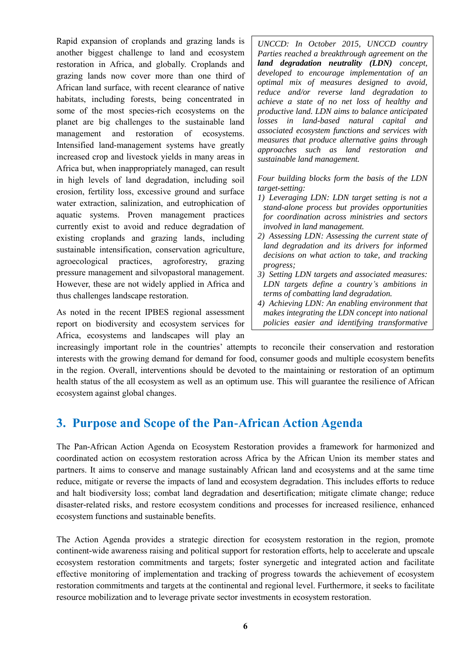Rapid expansion of croplands and grazing lands is another biggest challenge to land and ecosystem restoration in Africa, and globally. Croplands and grazing lands now cover more than one third of African land surface, with recent clearance of native habitats, including forests, being concentrated in some of the most species-rich ecosystems on the planet are big challenges to the sustainable land management and restoration of ecosystems. Intensified land-management systems have greatly increased crop and livestock yields in many areas in Africa but, when inappropriately managed, can result in high levels of land degradation, including soil erosion, fertility loss, excessive ground and surface water extraction, salinization, and eutrophication of aquatic systems. Proven management practices currently exist to avoid and reduce degradation of existing croplands and grazing lands, including sustainable intensification, conservation agriculture, agroecological practices, agroforestry, grazing pressure management and silvopastoral management. However, these are not widely applied in Africa and thus challenges landscape restoration.

As noted in the recent IPBES regional assessment report on biodiversity and ecosystem services for Africa, ecosystems and landscapes will play an

*UNCCD: In October 2015, UNCCD country Parties reached a breakthrough agreement on the land degradation neutrality (LDN) concept, developed to encourage implementation of an optimal mix of measures designed to avoid, reduce and/or reverse land degradation to achieve a state of no net loss of healthy and productive land. LDN aims to balance anticipated losses in land-based natural capital and associated ecosystem functions and services with measures that produce alternative gains through approaches such as land restoration and sustainable land management.*

*Four building blocks form the basis of the LDN target-setting:* 

- *1) Leveraging LDN: LDN target setting is not a stand-alone process but provides opportunities for coordination across ministries and sectors involved in land management.*
- *2) Assessing LDN: Assessing the current state of land degradation and its drivers for informed decisions on what action to take, and tracking progress;*
- *3) Setting LDN targets and associated measures: LDN targets define a country's ambitions in terms of combatting land degradation.*
- *4) Achieving LDN: An enabling environment that makes integrating the LDN concept into national policies easier and identifying transformative*

*LDN programmes and projects possible.*

increasingly important role in the countries' attempts to reconcile their conservation and restoration interests with the growing demand for demand for food, consumer goods and multiple ecosystem benefits in the region. Overall, interventions should be devoted to the maintaining or restoration of an optimum health status of the all ecosystem as well as an optimum use. This will guarantee the resilience of African ecosystem against global changes.

## **3. Purpose and Scope of the Pan-African Action Agenda**

The Pan-African Action Agenda on Ecosystem Restoration provides a framework for harmonized and coordinated action on ecosystem restoration across Africa by the African Union its member states and partners. It aims to conserve and manage sustainably African land and ecosystems and at the same time reduce, mitigate or reverse the impacts of land and ecosystem degradation. This includes efforts to reduce and halt biodiversity loss; combat land degradation and desertification; mitigate climate change; reduce disaster-related risks, and restore ecosystem conditions and processes for increased resilience, enhanced ecosystem functions and sustainable benefits.

The Action Agenda provides a strategic direction for ecosystem restoration in the region, promote continent-wide awareness raising and political support for restoration efforts, help to accelerate and upscale ecosystem restoration commitments and targets; foster synergetic and integrated action and facilitate effective monitoring of implementation and tracking of progress towards the achievement of ecosystem restoration commitments and targets at the continental and regional level. Furthermore, it seeks to facilitate resource mobilization and to leverage private sector investments in ecosystem restoration.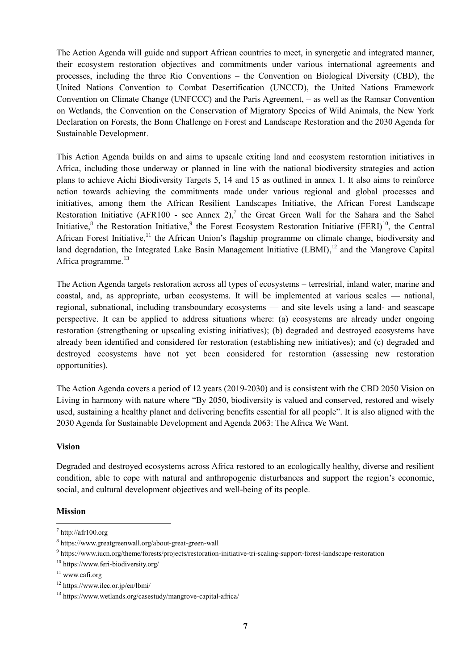The Action Agenda will guide and support African countries to meet, in synergetic and integrated manner, their ecosystem restoration objectives and commitments under various international agreements and processes, including the three Rio Conventions – the Convention on Biological Diversity (CBD), the United Nations Convention to Combat Desertification (UNCCD), the United Nations Framework Convention on Climate Change (UNFCCC) and the Paris Agreement, – as well as the Ramsar Convention on Wetlands, the Convention on the Conservation of Migratory Species of Wild Animals, the New York Declaration on Forests, the Bonn Challenge on Forest and Landscape Restoration and the 2030 Agenda for Sustainable Development.

This Action Agenda builds on and aims to upscale exiting land and ecosystem restoration initiatives in Africa, including those underway or planned in line with the national biodiversity strategies and action plans to achieve Aichi Biodiversity Targets 5, 14 and 15 as outlined in annex 1. It also aims to reinforce action towards achieving the commitments made under various regional and global processes and initiatives, among them the African Resilient Landscapes Initiative, the African Forest Landscape Restoration Initiative (AFR100 - see Annex 2),<sup>7</sup> the Great Green Wall for the Sahara and the Sahel Initiative,<sup>8</sup> the Restoration Initiative,<sup>9</sup> the Forest Ecosystem Restoration Initiative (FERI)<sup>10</sup>, the Central African Forest Initiative, $11$  the African Union's flagship programme on climate change, biodiversity and land degradation, the Integrated Lake Basin Management Initiative (LBMI),<sup>12</sup> and the Mangrove Capital Africa programme.<sup>13</sup>

The Action Agenda targets restoration across all types of ecosystems – terrestrial, inland water, marine and coastal, and, as appropriate, urban ecosystems. It will be implemented at various scales — national, regional, subnational, including transboundary ecosystems — and site levels using a land- and seascape perspective. It can be applied to address situations where: (a) ecosystems are already under ongoing restoration (strengthening or upscaling existing initiatives); (b) degraded and destroyed ecosystems have already been identified and considered for restoration (establishing new initiatives); and (c) degraded and destroyed ecosystems have not yet been considered for restoration (assessing new restoration opportunities).

The Action Agenda covers a period of 12 years (2019-2030) and is consistent with the CBD 2050 Vision on Living in harmony with nature where "By 2050, biodiversity is valued and conserved, restored and wisely used, sustaining a healthy planet and delivering benefits essential for all people". It is also aligned with the 2030 Agenda for Sustainable Development and Agenda 2063: The Africa We Want.

#### **Vision**

Degraded and destroyed ecosystems across Africa restored to an ecologically healthy, diverse and resilient condition, able to cope with natural and anthropogenic disturbances and support the region's economic, social, and cultural development objectives and well-being of its people.

#### **Mission**

 $^7$  http://afr100.org

<sup>8</sup> https://www.greatgreenwall.org/about-great-green-wall

<sup>9</sup> https://www.iucn.org/theme/forests/projects/restoration-initiative-tri-scaling-support-forest-landscape-restoration

<sup>10</sup> https://www.feri-biodiversity.org/

<sup>&</sup>lt;sup>11</sup> www.cafi.org

 $12 \text{ https://www.ilec. or.ip/en/lbmi/}$ 

<sup>13</sup> https://www.wetlands.org/casestudy/mangrove-capital-africa/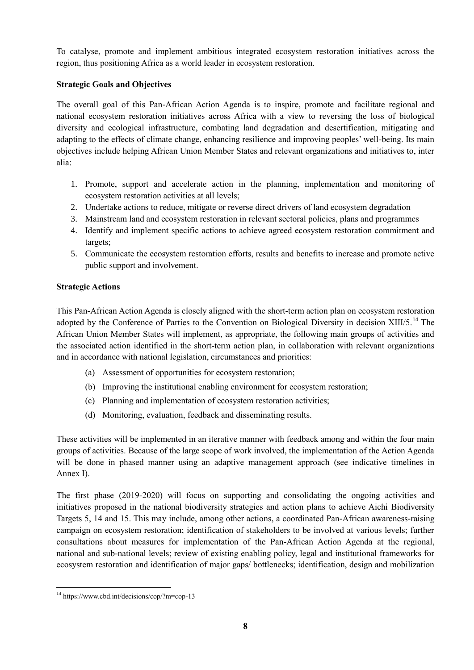To catalyse, promote and implement ambitious integrated ecosystem restoration initiatives across the region, thus positioning Africa as a world leader in ecosystem restoration.

### **Strategic Goals and Objectives**

The overall goal of this Pan-African Action Agenda is to inspire, promote and facilitate regional and national ecosystem restoration initiatives across Africa with a view to reversing the loss of biological diversity and ecological infrastructure, combating land degradation and desertification, mitigating and adapting to the effects of climate change, enhancing resilience and improving peoples' well-being. Its main objectives include helping African Union Member States and relevant organizations and initiatives to, inter alia:

- 1. Promote, support and accelerate action in the planning, implementation and monitoring of ecosystem restoration activities at all levels;
- 2. Undertake actions to reduce, mitigate or reverse direct drivers of land ecosystem degradation
- 3. Mainstream land and ecosystem restoration in relevant sectoral policies, plans and programmes
- 4. Identify and implement specific actions to achieve agreed ecosystem restoration commitment and targets;
- 5. Communicate the ecosystem restoration efforts, results and benefits to increase and promote active public support and involvement.

### **Strategic Actions**

This Pan-African Action Agenda is closely aligned with the short-term action plan on ecosystem restoration adopted by the Conference of Parties to the Convention on Biological Diversity in decision XIII/5.<sup>14</sup> The African Union Member States will implement, as appropriate, the following main groups of activities and the associated action identified in the short-term action plan, in collaboration with relevant organizations and in accordance with national legislation, circumstances and priorities:

- (a) Assessment of opportunities for ecosystem restoration;
- (b) Improving the institutional enabling environment for ecosystem restoration;
- (c) Planning and implementation of ecosystem restoration activities;
- (d) Monitoring, evaluation, feedback and disseminating results.

These activities will be implemented in an iterative manner with feedback among and within the four main groups of activities. Because of the large scope of work involved, the implementation of the Action Agenda will be done in phased manner using an adaptive management approach (see indicative timelines in Annex I).

The first phase (2019-2020) will focus on supporting and consolidating the ongoing activities and initiatives proposed in the national biodiversity strategies and action plans to achieve Aichi Biodiversity Targets 5, 14 and 15. This may include, among other actions, a coordinated Pan-African awareness-raising campaign on ecosystem restoration; identification of stakeholders to be involved at various levels; further consultations about measures for implementation of the Pan-African Action Agenda at the regional, national and sub-national levels; review of existing enabling policy, legal and institutional frameworks for ecosystem restoration and identification of major gaps/ bottlenecks; identification, design and mobilization

 $\overline{a}$ <sup>14</sup> https://www.cbd.int/decisions/cop/?m=cop-13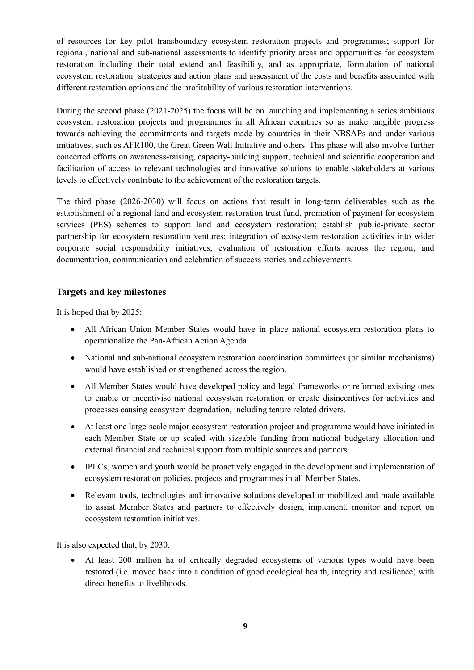of resources for key pilot transboundary ecosystem restoration projects and programmes; support for regional, national and sub-national assessments to identify priority areas and opportunities for ecosystem restoration including their total extend and feasibility, and as appropriate, formulation of national ecosystem restoration strategies and action plans and assessment of the costs and benefits associated with different restoration options and the profitability of various restoration interventions.

During the second phase (2021-2025) the focus will be on launching and implementing a series ambitious ecosystem restoration projects and programmes in all African countries so as make tangible progress towards achieving the commitments and targets made by countries in their NBSAPs and under various initiatives, such as AFR100, the Great Green Wall Initiative and others. This phase will also involve further concerted efforts on awareness-raising, capacity-building support, technical and scientific cooperation and facilitation of access to relevant technologies and innovative solutions to enable stakeholders at various levels to effectively contribute to the achievement of the restoration targets.

The third phase (2026-2030) will focus on actions that result in long-term deliverables such as the establishment of a regional land and ecosystem restoration trust fund, promotion of payment for ecosystem services (PES) schemes to support land and ecosystem restoration; establish public-private sector partnership for ecosystem restoration ventures; integration of ecosystem restoration activities into wider corporate social responsibility initiatives; evaluation of restoration efforts across the region; and documentation, communication and celebration of success stories and achievements.

### **Targets and key milestones**

It is hoped that by 2025:

- All African Union Member States would have in place national ecosystem restoration plans to operationalize the Pan-African Action Agenda
- National and sub-national ecosystem restoration coordination committees (or similar mechanisms) would have established or strengthened across the region.
- All Member States would have developed policy and legal frameworks or reformed existing ones to enable or incentivise national ecosystem restoration or create disincentives for activities and processes causing ecosystem degradation, including tenure related drivers.
- At least one large-scale major ecosystem restoration project and programme would have initiated in each Member State or up scaled with sizeable funding from national budgetary allocation and external financial and technical support from multiple sources and partners.
- IPLCs, women and youth would be proactively engaged in the development and implementation of ecosystem restoration policies, projects and programmes in all Member States.
- Relevant tools, technologies and innovative solutions developed or mobilized and made available to assist Member States and partners to effectively design, implement, monitor and report on ecosystem restoration initiatives.

It is also expected that, by 2030:

 At least 200 million ha of critically degraded ecosystems of various types would have been restored (i.e. moved back into a condition of good ecological health, integrity and resilience) with direct benefits to livelihoods.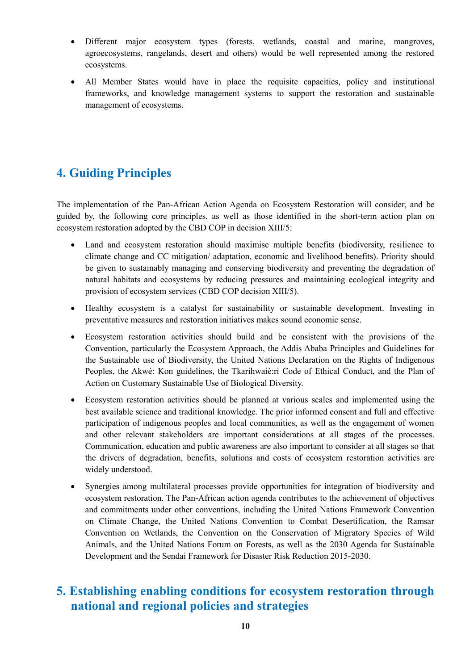- Different major ecosystem types (forests, wetlands, coastal and marine, mangroves, agroecosystems, rangelands, desert and others) would be well represented among the restored ecosystems.
- All Member States would have in place the requisite capacities, policy and institutional frameworks, and knowledge management systems to support the restoration and sustainable management of ecosystems.

## **4. Guiding Principles**

The implementation of the Pan-African Action Agenda on Ecosystem Restoration will consider, and be guided by, the following core principles, as well as those identified in the short-term action plan on ecosystem restoration adopted by the CBD COP in decision XIII/5:

- Land and ecosystem restoration should maximise multiple benefits (biodiversity, resilience to climate change and CC mitigation/ adaptation, economic and livelihood benefits). Priority should be given to sustainably managing and conserving biodiversity and preventing the degradation of natural habitats and ecosystems by reducing pressures and maintaining ecological integrity and provision of ecosystem services (CBD COP decision XIII/5).
- Healthy ecosystem is a catalyst for sustainability or sustainable development. Investing in preventative measures and restoration initiatives makes sound economic sense.
- Ecosystem restoration activities should build and be consistent with the provisions of the Convention, particularly the Ecosystem Approach, the Addis Ababa Principles and Guidelines for the Sustainable use of Biodiversity, the United Nations Declaration on the Rights of Indigenous Peoples, the Akwé: Kon guidelines, the Tkarihwaié:ri Code of Ethical Conduct, and the Plan of Action on Customary Sustainable Use of Biological Diversity.
- Ecosystem restoration activities should be planned at various scales and implemented using the best available science and traditional knowledge. The prior informed consent and full and effective participation of indigenous peoples and local communities, as well as the engagement of women and other relevant stakeholders are important considerations at all stages of the processes. Communication, education and public awareness are also important to consider at all stages so that the drivers of degradation, benefits, solutions and costs of ecosystem restoration activities are widely understood.
- Synergies among multilateral processes provide opportunities for integration of biodiversity and ecosystem restoration. The Pan-African action agenda contributes to the achievement of objectives and commitments under other conventions, including the United Nations Framework Convention on Climate Change, the United Nations Convention to Combat Desertification, the Ramsar Convention on Wetlands, the Convention on the Conservation of Migratory Species of Wild Animals, and the United Nations Forum on Forests, as well as the 2030 Agenda for Sustainable Development and the Sendai Framework for Disaster Risk Reduction 2015-2030.

## **5. Establishing enabling conditions for ecosystem restoration through national and regional policies and strategies**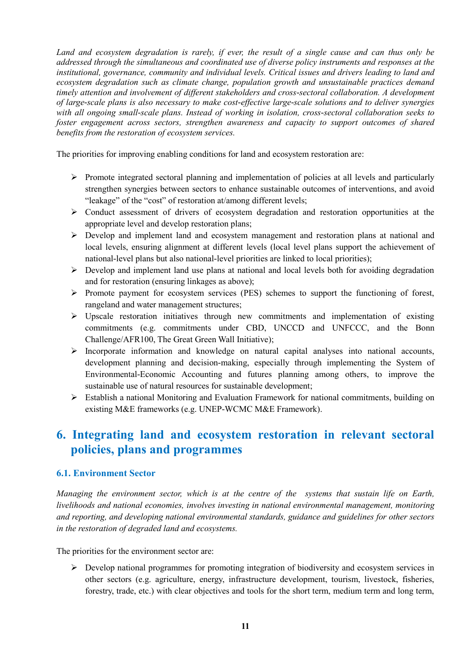*Land and ecosystem degradation is rarely, if ever, the result of a single cause and can thus only be addressed through the simultaneous and coordinated use of diverse policy instruments and responses at the institutional, governance, community and individual levels. Critical issues and drivers leading to land and ecosystem degradation such as climate change, population growth and unsustainable practices demand timely attention and involvement of different stakeholders and cross-sectoral collaboration. A development of large-scale plans is also necessary to make cost-effective large-scale solutions and to deliver synergies with all ongoing small-scale plans. Instead of working in isolation, cross-sectoral collaboration seeks to foster engagement across sectors, strengthen awareness and capacity to support outcomes of shared benefits from the restoration of ecosystem services.*

The priorities for improving enabling conditions for land and ecosystem restoration are:

- $\triangleright$  Promote integrated sectoral planning and implementation of policies at all levels and particularly strengthen synergies between sectors to enhance sustainable outcomes of interventions, and avoid "leakage" of the "cost" of restoration at/among different levels;
- $\triangleright$  Conduct assessment of drivers of ecosystem degradation and restoration opportunities at the appropriate level and develop restoration plans;
- Develop and implement land and ecosystem management and restoration plans at national and local levels, ensuring alignment at different levels (local level plans support the achievement of national-level plans but also national-level priorities are linked to local priorities);
- $\triangleright$  Develop and implement land use plans at national and local levels both for avoiding degradation and for restoration (ensuring linkages as above);
- Promote payment for ecosystem services (PES) schemes to support the functioning of forest, rangeland and water management structures;
- $\triangleright$  Upscale restoration initiatives through new commitments and implementation of existing commitments (e.g. commitments under CBD, UNCCD and UNFCCC, and the Bonn Challenge/AFR100, The Great Green Wall Initiative);
- $\triangleright$  Incorporate information and knowledge on natural capital analyses into national accounts, development planning and decision-making, especially through implementing the System of Environmental-Economic Accounting and futures planning among others, to improve the sustainable use of natural resources for sustainable development;
- Establish a national Monitoring and Evaluation Framework for national commitments, building on existing M&E frameworks (e.g. UNEP-WCMC M&E Framework).

## **6. Integrating land and ecosystem restoration in relevant sectoral policies, plans and programmes**

#### **6.1. Environment Sector**

*Managing the environment sector, which is at the centre of the systems that sustain life on Earth, livelihoods and national economies, involves investing in national environmental management, monitoring and reporting, and developing national environmental standards, guidance and guidelines for other sectors in the restoration of degraded land and ecosystems.*

The priorities for the environment sector are:

 $\triangleright$  Develop national programmes for promoting integration of biodiversity and ecosystem services in other sectors (e.g. agriculture, energy, infrastructure development, tourism, livestock, fisheries, forestry, trade, etc.) with clear objectives and tools for the short term, medium term and long term,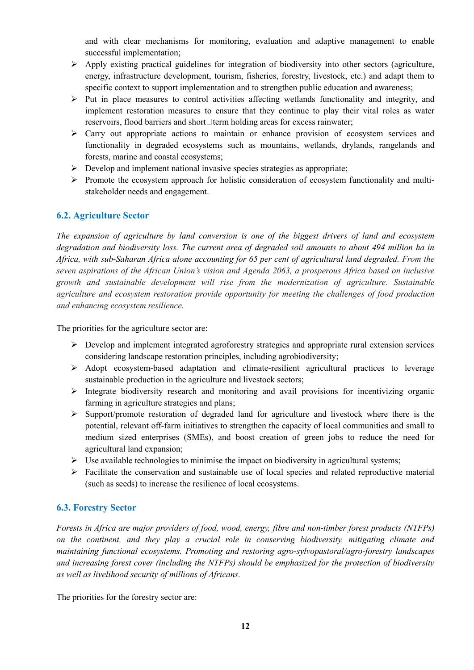and with clear mechanisms for monitoring, evaluation and adaptive management to enable successful implementation;

- $\triangleright$  Apply existing practical guidelines for integration of biodiversity into other sectors (agriculture, energy, infrastructure development, tourism, fisheries, forestry, livestock, etc.) and adapt them to specific context to support implementation and to strengthen public education and awareness;
- $\triangleright$  Put in place measures to control activities affecting wetlands functionality and integrity, and implement restoration measures to ensure that they continue to play their vital roles as water reservoirs, flood barriers and short $\Box$  term holding areas for excess rainwater;
- $\triangleright$  Carry out appropriate actions to maintain or enhance provision of ecosystem services and functionality in degraded ecosystems such as mountains, wetlands, drylands, rangelands and forests, marine and coastal ecosystems;
- $\triangleright$  Develop and implement national invasive species strategies as appropriate;
- $\triangleright$  Promote the ecosystem approach for holistic consideration of ecosystem functionality and multistakeholder needs and engagement.

### **6.2. Agriculture Sector**

*The expansion of agriculture by land conversion is one of the biggest drivers of land and ecosystem degradation and biodiversity loss. The current area of degraded soil amounts to about 494 million ha in Africa, with sub-Saharan Africa alone accounting for 65 per cent of agricultural land degraded. From the seven aspirations of the African Union's vision and Agenda 2063, a prosperous Africa based on inclusive growth and sustainable development will rise from the modernization of agriculture. Sustainable agriculture and ecosystem restoration provide opportunity for meeting the challenges of food production and enhancing ecosystem resilience.*

The priorities for the agriculture sector are:

- $\triangleright$  Develop and implement integrated agroforestry strategies and appropriate rural extension services considering landscape restoration principles, including agrobiodiversity;
- $\triangleright$  Adopt ecosystem-based adaptation and climate-resilient agricultural practices to leverage sustainable production in the agriculture and livestock sectors;
- $\triangleright$  Integrate biodiversity research and monitoring and avail provisions for incentivizing organic farming in agriculture strategies and plans;
- $\triangleright$  Support/promote restoration of degraded land for agriculture and livestock where there is the potential, relevant off-farm initiatives to strengthen the capacity of local communities and small to medium sized enterprises (SMEs), and boost creation of green jobs to reduce the need for agricultural land expansion;
- $\triangleright$  Use available technologies to minimise the impact on biodiversity in agricultural systems;
- $\triangleright$  Facilitate the conservation and sustainable use of local species and related reproductive material (such as seeds) to increase the resilience of local ecosystems.

#### **6.3. Forestry Sector**

*Forests in Africa are major providers of food, wood, energy, fibre and non-timber forest products (NTFPs) on the continent, and they play a crucial role in conserving biodiversity, mitigating climate and maintaining functional ecosystems. Promoting and restoring agro-sylvopastoral/agro-forestry landscapes and increasing forest cover (including the NTFPs) should be emphasized for the protection of biodiversity as well as livelihood security of millions of Africans.*

The priorities for the forestry sector are: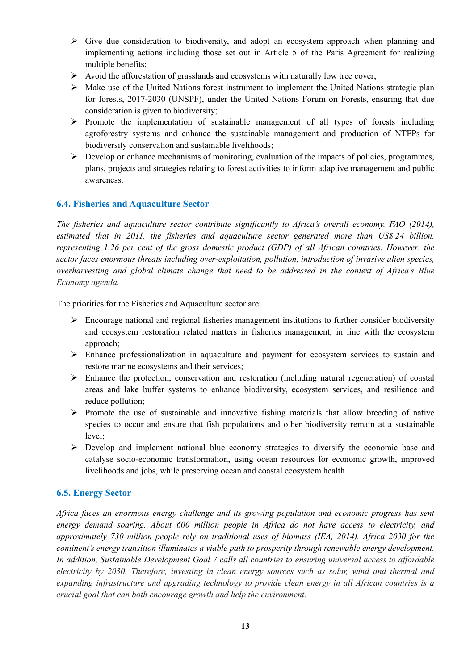- $\triangleright$  Give due consideration to biodiversity, and adopt an ecosystem approach when planning and implementing actions including those set out in Article 5 of the Paris Agreement for realizing multiple benefits;
- $\triangleright$  Avoid the afforestation of grasslands and ecosystems with naturally low tree cover;
- $\triangleright$  Make use of the United Nations forest instrument to implement the United Nations strategic plan for forests, 2017-2030 (UNSPF), under the United Nations Forum on Forests, ensuring that due consideration is given to biodiversity;
- $\triangleright$  Promote the implementation of sustainable management of all types of forests including agroforestry systems and enhance the sustainable management and production of NTFPs for biodiversity conservation and sustainable livelihoods;
- $\triangleright$  Develop or enhance mechanisms of monitoring, evaluation of the impacts of policies, programmes, plans, projects and strategies relating to forest activities to inform adaptive management and public awareness.

### **6.4. Fisheries and Aquaculture Sector**

*The fisheries and aquaculture sector contribute significantly to Africa's overall economy. FAO (2014), estimated that in 2011, the fisheries and aquaculture sector generated more than US\$ 24 billion, representing 1.26 per cent of the gross domestic product (GDP) of all African countries. However, the sector faces enormous threats including over-exploitation, pollution, introduction of invasive alien species, overharvesting and global climate change that need to be addressed in the context of Africa's Blue Economy agenda.*

The priorities for the Fisheries and Aquaculture sector are:

- $\triangleright$  Encourage national and regional fisheries management institutions to further consider biodiversity and ecosystem restoration related matters in fisheries management, in line with the ecosystem approach;
- Enhance professionalization in aquaculture and payment for ecosystem services to sustain and restore marine ecosystems and their services;
- Enhance the protection, conservation and restoration (including natural regeneration) of coastal areas and lake buffer systems to enhance biodiversity, ecosystem services, and resilience and reduce pollution;
- $\triangleright$  Promote the use of sustainable and innovative fishing materials that allow breeding of native species to occur and ensure that fish populations and other biodiversity remain at a sustainable level;
- Develop and implement national blue economy strategies to diversify the economic base and catalyse socio-economic transformation, using ocean resources for economic growth, improved livelihoods and jobs, while preserving ocean and coastal ecosystem health.

#### **6.5. Energy Sector**

*Africa faces an enormous energy challenge and its growing population and economic progress has sent energy demand soaring. About 600 million people in Africa do not have access to electricity, and approximately 730 million people rely on traditional uses of biomass (IEA, 2014). Africa 2030 for the continent's energy transition illuminates a viable path to prosperity through renewable energy development. In addition, Sustainable Development Goal 7 calls all countries to ensuring universal access to affordable electricity by 2030. Therefore, investing in clean energy sources such as solar, wind and thermal and expanding infrastructure and upgrading technology to provide clean energy in all African countries is a crucial goal that can both encourage growth and help the environment.*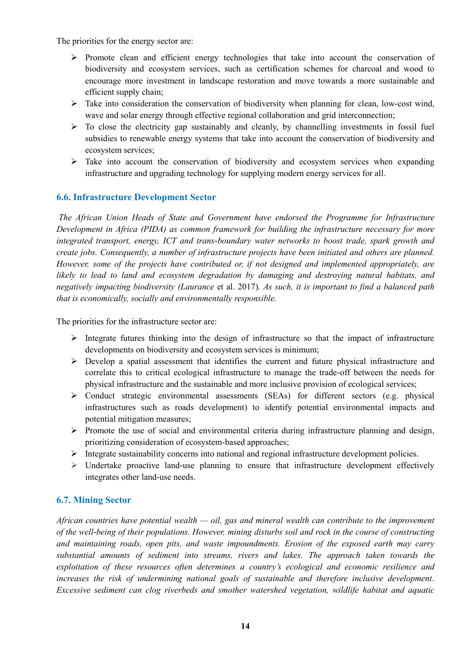The priorities for the energy sector are:

- $\triangleright$  Promote clean and efficient energy technologies that take into account the conservation of biodiversity and ecosystem services, such as certification schemes for charcoal and wood to encourage more investment in landscape restoration and move towards a more sustainable and efficient supply chain;
- $\triangleright$  Take into consideration the conservation of biodiversity when planning for clean, low-cost wind, wave and solar energy through effective regional collaboration and grid interconnection;
- $\triangleright$  To close the electricity gap sustainably and cleanly, by channelling investments in fossil fuel subsidies to renewable energy systems that take into account the conservation of biodiversity and ecosystem services;
- $\triangleright$  Take into account the conservation of biodiversity and ecosystem services when expanding infrastructure and upgrading technology for supplying modern energy services for all.

### **6.6. Infrastructure Development Sector**

*The African Union Heads of State and Government have endorsed the Programme for Infrastructure Development in Africa (PIDA) as common framework for building the infrastructure necessary for more integrated transport, energy, ICT and trans-boundary water networks to boost trade, spark growth and create jobs. Consequently, a number of infrastructure projects have been initiated and others are planned. However, some of the projects have contributed or, if not designed and implemented appropriately, are likely to lead to land and ecosystem degradation by damaging and destroying natural habitats, and negatively impacting biodiversity (Laurance* et al. 2017)*. As such, it is important to find a balanced path that is economically, socially and environmentally responsible.*

The priorities for the infrastructure sector are:

- $\triangleright$  Integrate futures thinking into the design of infrastructure so that the impact of infrastructure developments on biodiversity and ecosystem services is minimum;
- Develop a spatial assessment that identifies the current and future physical infrastructure and correlate this to critical ecological infrastructure to manage the trade-off between the needs for physical infrastructure and the sustainable and more inclusive provision of ecological services;
- Conduct strategic environmental assessments (SEAs) for different sectors (e.g. physical infrastructures such as roads development) to identify potential environmental impacts and potential mitigation measures;
- $\triangleright$  Promote the use of social and environmental criteria during infrastructure planning and design, prioritizing consideration of ecosystem-based approaches;
- Integrate sustainability concerns into national and regional infrastructure development policies.
- $\triangleright$  Undertake proactive land-use planning to ensure that infrastructure development effectively integrates other land-use needs.

#### **6.7. Mining Sector**

*African countries have potential wealth — oil, gas and mineral wealth can contribute to the improvement of the well-being of their populations. However, mining disturbs soil and rock in the course of constructing and maintaining roads, open pits, and waste impoundments. Erosion of the exposed earth may carry substantial amounts of sediment into streams, rivers and lakes. The approach taken towards the exploitation of these resources often determines a country's ecological and economic resilience and increases the risk of undermining national goals of sustainable and therefore inclusive development*. *Excessive sediment can clog riverbeds and smother watershed vegetation, wildlife habitat and aquatic*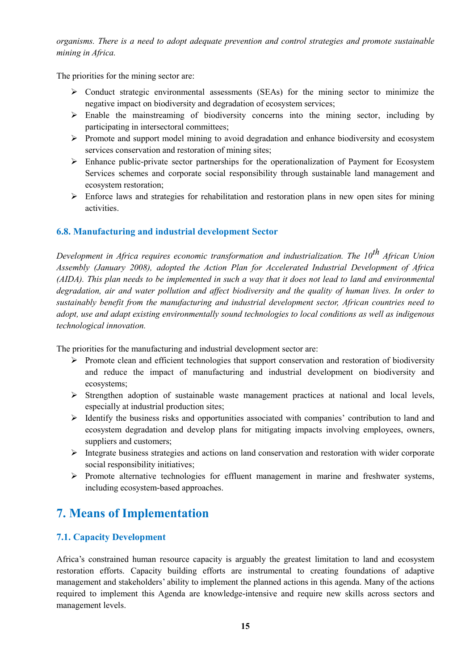*organisms. There is a need to adopt adequate prevention and control strategies and promote sustainable mining in Africa.*

The priorities for the mining sector are:

- $\triangleright$  Conduct strategic environmental assessments (SEAs) for the mining sector to minimize the negative impact on biodiversity and degradation of ecosystem services;
- $\triangleright$  Enable the mainstreaming of biodiversity concerns into the mining sector, including by participating in intersectoral committees;
- $\triangleright$  Promote and support model mining to avoid degradation and enhance biodiversity and ecosystem services conservation and restoration of mining sites;
- $\triangleright$  Enhance public-private sector partnerships for the operationalization of Payment for Ecosystem Services schemes and corporate social responsibility through sustainable land management and ecosystem restoration;
- $\triangleright$  Enforce laws and strategies for rehabilitation and restoration plans in new open sites for mining activities.

### **6.8. Manufacturing and industrial development Sector**

*Development in Africa requires economic transformation and industrialization. The 10th African Union Assembly (January 2008), adopted the Action Plan for Accelerated Industrial Development of Africa (AIDA). This plan needs to be implemented in such a way that it does not lead to land and environmental degradation, air and water pollution and affect biodiversity and the quality of human lives. In order to sustainably benefit from the manufacturing and industrial development sector, African countries need to adopt, use and adapt existing environmentally sound technologies to local conditions as well as indigenous technological innovation.*

The priorities for the manufacturing and industrial development sector are:

- $\triangleright$  Promote clean and efficient technologies that support conservation and restoration of biodiversity and reduce the impact of manufacturing and industrial development on biodiversity and ecosystems;
- $\triangleright$  Strengthen adoption of sustainable waste management practices at national and local levels, especially at industrial production sites;
- $\triangleright$  Identify the business risks and opportunities associated with companies' contribution to land and ecosystem degradation and develop plans for mitigating impacts involving employees, owners, suppliers and customers;
- $\triangleright$  Integrate business strategies and actions on land conservation and restoration with wider corporate social responsibility initiatives;
- $\triangleright$  Promote alternative technologies for effluent management in marine and freshwater systems, including ecosystem-based approaches.

## **7. Means of Implementation**

### **7.1. Capacity Development**

Africa's constrained human resource capacity is arguably the greatest limitation to land and ecosystem restoration efforts. Capacity building efforts are instrumental to creating foundations of adaptive management and stakeholders' ability to implement the planned actions in this agenda. Many of the actions required to implement this Agenda are knowledge-intensive and require new skills across sectors and management levels.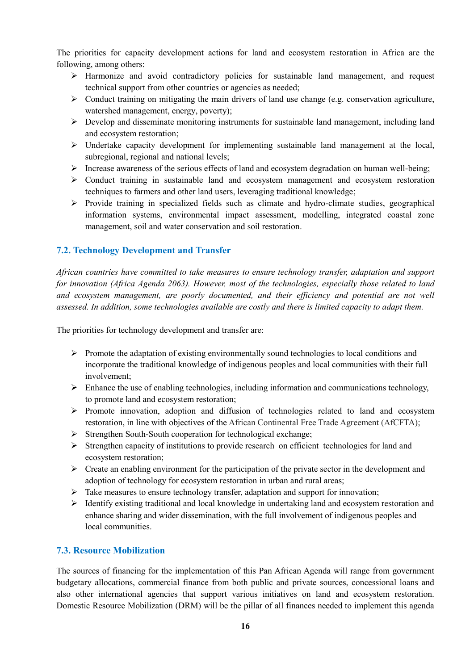The priorities for capacity development actions for land and ecosystem restoration in Africa are the following, among others:

- Harmonize and avoid contradictory policies for sustainable land management, and request technical support from other countries or agencies as needed;
- $\triangleright$  Conduct training on mitigating the main drivers of land use change (e.g. conservation agriculture, watershed management, energy, poverty);
- $\triangleright$  Develop and disseminate monitoring instruments for sustainable land management, including land and ecosystem restoration;
- $\triangleright$  Undertake capacity development for implementing sustainable land management at the local, subregional, regional and national levels;
- $\triangleright$  Increase awareness of the serious effects of land and ecosystem degradation on human well-being;
- $\triangleright$  Conduct training in sustainable land and ecosystem management and ecosystem restoration techniques to farmers and other land users, leveraging traditional knowledge;
- $\triangleright$  Provide training in specialized fields such as climate and hydro-climate studies, geographical information systems, environmental impact assessment, modelling, integrated coastal zone management, soil and water conservation and soil restoration.

### **7.2. Technology Development and Transfer**

*African countries have committed to take measures to ensure technology transfer, adaptation and support for innovation (Africa Agenda 2063). However, most of the technologies, especially those related to land and ecosystem management, are poorly documented, and their efficiency and potential are not well assessed. In addition, some technologies available are costly and there is limited capacity to adapt them.* 

The priorities for technology development and transfer are:

- $\triangleright$  Promote the adaptation of existing environmentally sound technologies to local conditions and incorporate the traditional knowledge of indigenous peoples and local communities with their full involvement;
- $\triangleright$  Enhance the use of enabling technologies, including information and communications technology, to promote land and ecosystem restoration;
- $\triangleright$  Promote innovation, adoption and diffusion of technologies related to land and ecosystem restoration, in line with objectives of the African Continental Free Trade Agreement (AfCFTA);
- $\triangleright$  Strengthen South-South cooperation for technological exchange;
- Strengthen capacity of institutions to provide research on efficient technologies for land and ecosystem restoration;
- $\triangleright$  Create an enabling environment for the participation of the private sector in the development and adoption of technology for ecosystem restoration in urban and rural areas;
- $\triangleright$  Take measures to ensure technology transfer, adaptation and support for innovation;
- $\triangleright$  Identify existing traditional and local knowledge in undertaking land and ecosystem restoration and enhance sharing and wider dissemination, with the full involvement of indigenous peoples and local communities.

### **7.3. Resource Mobilization**

The sources of financing for the implementation of this Pan African Agenda will range from government budgetary allocations, commercial finance from both public and private sources, concessional loans and also other international agencies that support various initiatives on land and ecosystem restoration. Domestic Resource Mobilization (DRM) will be the pillar of all finances needed to implement this agenda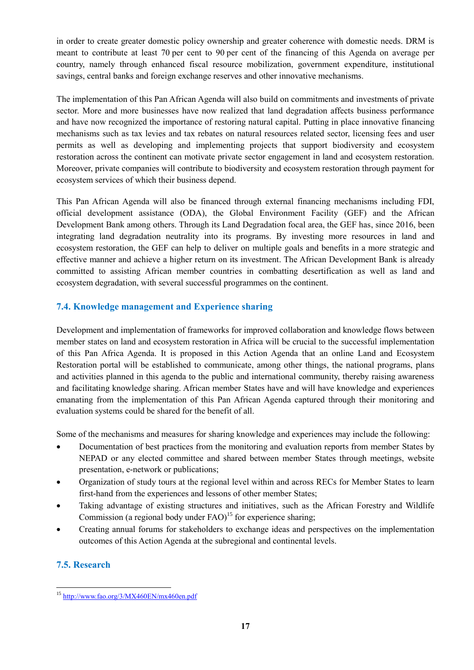in order to create greater domestic policy ownership and greater coherence with domestic needs. DRM is meant to contribute at least 70 per cent to 90 per cent of the financing of this Agenda on average per country, namely through enhanced fiscal resource mobilization, government expenditure, institutional savings, central banks and foreign exchange reserves and other innovative mechanisms.

The implementation of this Pan African Agenda will also build on commitments and investments of private sector. More and more businesses have now realized that land degradation affects business performance and have now recognized the importance of restoring natural capital. Putting in place innovative financing mechanisms such as tax levies and tax rebates on natural resources related sector, licensing fees and user permits as well as developing and implementing projects that support biodiversity and ecosystem restoration across the continent can motivate private sector engagement in land and ecosystem restoration. Moreover, private companies will contribute to biodiversity and ecosystem restoration through payment for ecosystem services of which their business depend.

This Pan African Agenda will also be financed through external financing mechanisms including FDI, official development assistance (ODA), the Global Environment Facility (GEF) and the African Development Bank among others. Through its Land Degradation focal area, the GEF has, since 2016, been integrating land degradation neutrality into its programs. By investing more resources in land and ecosystem restoration, the GEF can help to deliver on multiple goals and benefits in a more strategic and effective manner and achieve a higher return on its investment. The African Development Bank is already committed to assisting African member countries in combatting desertification as well as land and ecosystem degradation, with several successful programmes on the continent.

### **7.4. Knowledge management and Experience sharing**

Development and implementation of frameworks for improved collaboration and knowledge flows between member states on land and ecosystem restoration in Africa will be crucial to the successful implementation of this Pan Africa Agenda. It is proposed in this Action Agenda that an online Land and Ecosystem Restoration portal will be established to communicate, among other things, the national programs, plans and activities planned in this agenda to the public and international community, thereby raising awareness and facilitating knowledge sharing. African member States have and will have knowledge and experiences emanating from the implementation of this Pan African Agenda captured through their monitoring and evaluation systems could be shared for the benefit of all.

Some of the mechanisms and measures for sharing knowledge and experiences may include the following:

- Documentation of best practices from the monitoring and evaluation reports from member States by NEPAD or any elected committee and shared between member States through meetings, website presentation, e-network or publications;
- Organization of study tours at the regional level within and across RECs for Member States to learn first-hand from the experiences and lessons of other member States;
- Taking advantage of existing structures and initiatives, such as the African Forestry and Wildlife Commission (a regional body under  $FAO$ )<sup>15</sup> for experience sharing;
- Creating annual forums for stakeholders to exchange ideas and perspectives on the implementation outcomes of this Action Agenda at the subregional and continental levels.

## **7.5. Research**

 $\overline{a}$ <sup>15</sup> <http://www.fao.org/3/MX460EN/mx460en.pdf>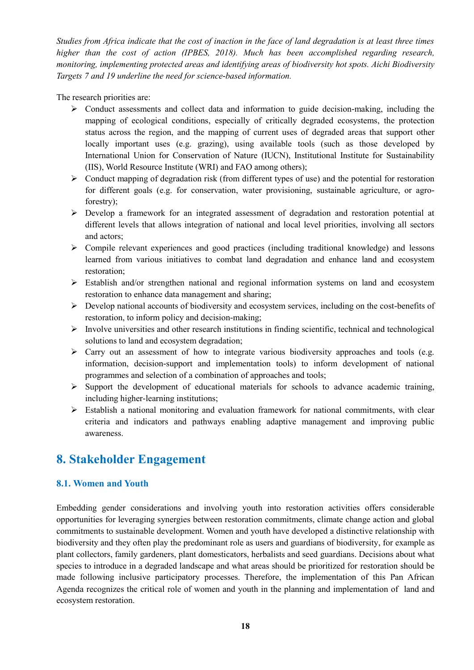*Studies from Africa indicate that the cost of inaction in the face of land degradation is at least three times higher than the cost of action (IPBES, 2018). Much has been accomplished regarding research, monitoring, implementing protected areas and identifying areas of biodiversity hot spots. Aichi Biodiversity Targets 7 and 19 underline the need for science-based information.*

The research priorities are:

- $\triangleright$  Conduct assessments and collect data and information to guide decision-making, including the mapping of ecological conditions, especially of critically degraded ecosystems, the protection status across the region, and the mapping of current uses of degraded areas that support other locally important uses (e.g. grazing), using available tools (such as those developed by International Union for Conservation of Nature (IUCN), Institutional Institute for Sustainability (IIS), World Resource Institute (WRI) and FAO among others);
- $\triangleright$  Conduct mapping of degradation risk (from different types of use) and the potential for restoration for different goals (e.g. for conservation, water provisioning, sustainable agriculture, or agroforestry);
- Develop a framework for an integrated assessment of degradation and restoration potential at different levels that allows integration of national and local level priorities, involving all sectors and actors;
- $\triangleright$  Compile relevant experiences and good practices (including traditional knowledge) and lessons learned from various initiatives to combat land degradation and enhance land and ecosystem restoration;
- Establish and/or strengthen national and regional information systems on land and ecosystem restoration to enhance data management and sharing;
- $\triangleright$  Develop national accounts of biodiversity and ecosystem services, including on the cost-benefits of restoration, to inform policy and decision-making;
- $\triangleright$  Involve universities and other research institutions in finding scientific, technical and technological solutions to land and ecosystem degradation;
- $\triangleright$  Carry out an assessment of how to integrate various biodiversity approaches and tools (e.g. information, decision-support and implementation tools) to inform development of national programmes and selection of a combination of approaches and tools;
- $\triangleright$  Support the development of educational materials for schools to advance academic training, including higher-learning institutions;
- $\triangleright$  Establish a national monitoring and evaluation framework for national commitments, with clear criteria and indicators and pathways enabling adaptive management and improving public awareness.

## **8. Stakeholder Engagement**

### **8.1. Women and Youth**

Embedding gender considerations and involving youth into restoration activities offers considerable opportunities for leveraging synergies between restoration commitments, climate change action and global commitments to sustainable development. Women and youth have developed a distinctive relationship with biodiversity and they often play the predominant role as users and guardians of biodiversity, for example as plant collectors, family gardeners, plant domesticators, herbalists and seed guardians. Decisions about what species to introduce in a degraded landscape and what areas should be prioritized for restoration should be made following inclusive participatory processes. Therefore, the implementation of this Pan African Agenda recognizes the critical role of women and youth in the planning and implementation of land and ecosystem restoration.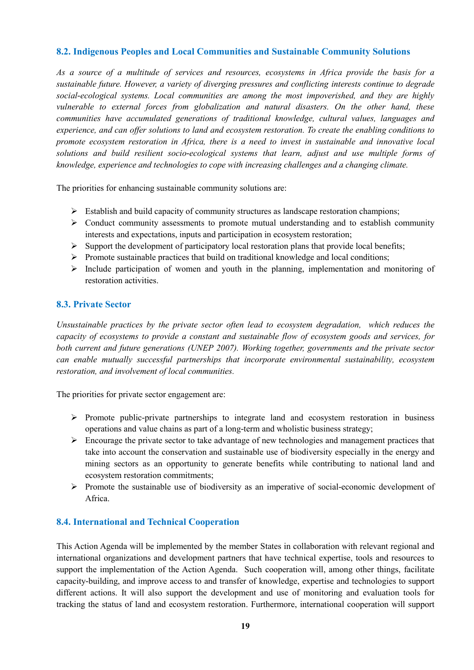### **8.2. Indigenous Peoples and Local Communities and Sustainable Community Solutions**

*As a source of a multitude of services and resources, ecosystems in Africa provide the basis for a sustainable future. However, a variety of diverging pressures and conflicting interests continue to degrade social-ecological systems. Local communities are among the most impoverished, and they are highly vulnerable to external forces from globalization and natural disasters. On the other hand, these communities have accumulated generations of traditional knowledge, cultural values, languages and experience, and can offer solutions to land and ecosystem restoration. To create the enabling conditions to promote ecosystem restoration in Africa, there is a need to invest in sustainable and innovative local solutions and build resilient socio-ecological systems that learn, adjust and use multiple forms of knowledge, experience and technologies to cope with increasing challenges and a changing climate.*

The priorities for enhancing sustainable community solutions are:

- $\triangleright$  Establish and build capacity of community structures as landscape restoration champions;
- $\triangleright$  Conduct community assessments to promote mutual understanding and to establish community interests and expectations, inputs and participation in ecosystem restoration;
- $\triangleright$  Support the development of participatory local restoration plans that provide local benefits;
- $\triangleright$  Promote sustainable practices that build on traditional knowledge and local conditions;
- $\triangleright$  Include participation of women and youth in the planning, implementation and monitoring of restoration activities.

#### **8.3. Private Sector**

*Unsustainable practices by the private sector often lead to ecosystem degradation, which reduces the capacity of ecosystems to provide a constant and sustainable flow of ecosystem goods and services, for both current and future generations (UNEP 2007). Working together, governments and the private sector can enable mutually successful partnerships that incorporate environmental sustainability, ecosystem restoration, and involvement of local communities.*

The priorities for private sector engagement are:

- $\triangleright$  Promote public-private partnerships to integrate land and ecosystem restoration in business operations and value chains as part of a long-term and wholistic business strategy;
- $\triangleright$  Encourage the private sector to take advantage of new technologies and management practices that take into account the conservation and sustainable use of biodiversity especially in the energy and mining sectors as an opportunity to generate benefits while contributing to national land and ecosystem restoration commitments;
- $\triangleright$  Promote the sustainable use of biodiversity as an imperative of social-economic development of Africa.

#### **8.4. International and Technical Cooperation**

This Action Agenda will be implemented by the member States in collaboration with relevant regional and international organizations and development partners that have technical expertise, tools and resources to support the implementation of the Action Agenda. Such cooperation will, among other things, facilitate capacity-building, and improve access to and transfer of knowledge, expertise and technologies to support different actions. It will also support the development and use of monitoring and evaluation tools for tracking the status of land and ecosystem restoration. Furthermore, international cooperation will support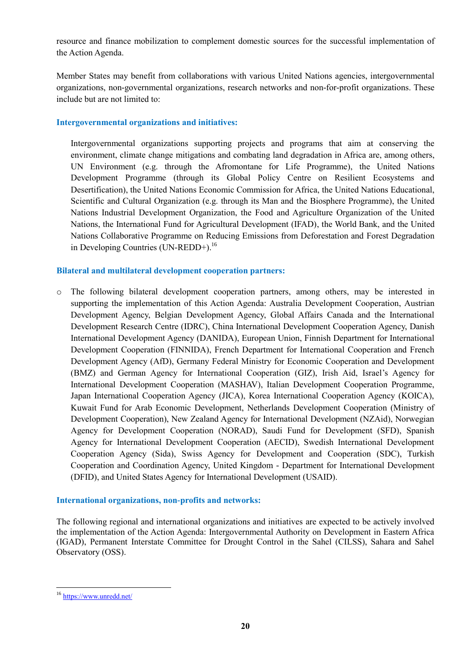resource and finance mobilization to complement domestic sources for the successful implementation of the Action Agenda.

Member States may benefit from collaborations with various United Nations agencies, intergovernmental organizations, non-governmental organizations, research networks and non-for-profit organizations. These include but are not limited to:

#### **Intergovernmental organizations and initiatives:**

Intergovernmental organizations supporting projects and programs that aim at conserving the environment, climate change mitigations and combating land degradation in Africa are, among others, UN Environment (e.g. through the Afromontane for Life Programme), the United Nations Development Programme (through its Global Policy Centre on Resilient Ecosystems and Desertification), the United Nations Economic Commission for Africa, the United Nations Educational, Scientific and Cultural Organization (e.g. through its Man and the Biosphere Programme), the United Nations Industrial Development Organization, the Food and Agriculture Organization of the United Nations, the International Fund for Agricultural Development (IFAD), the World Bank, and the United Nations Collaborative Programme on Reducing Emissions from Deforestation and Forest Degradation in Developing Countries (UN-REDD+).<sup>16</sup>

#### **Bilateral and multilateral development cooperation partners:**

o The following bilateral development cooperation partners, among others, may be interested in supporting the implementation of this Action Agenda: Australia Development Cooperation, Austrian Development Agency, Belgian Development Agency, Global Affairs Canada and the International Development Research Centre (IDRC), China International Development Cooperation Agency, Danish International Development Agency (DANIDA), European Union, Finnish Department for International Development Cooperation (FINNIDA), French Department for International Cooperation and French Development Agency (AfD), Germany Federal Ministry for Economic Cooperation and Development (BMZ) and German Agency for International Cooperation (GIZ), Irish Aid, Israel's Agency for International Development Cooperation (MASHAV), Italian Development Cooperation Programme, Japan International Cooperation Agency (JICA), Korea International Cooperation Agency (KOICA), Kuwait Fund for Arab Economic Development, Netherlands Development Cooperation (Ministry of Development Cooperation), New Zealand Agency for International Development (NZAid), Norwegian Agency for Development Cooperation (NORAD), Saudi Fund for Development (SFD), Spanish Agency for International Development Cooperation (AECID), Swedish International Development Cooperation Agency (Sida), Swiss Agency for Development and Cooperation (SDC), Turkish Cooperation and Coordination Agency, United Kingdom - Department for International Development (DFID), and United States Agency for International Development (USAID).

#### **International organizations, non-profits and networks:**

The following regional and international organizations and initiatives are expected to be actively involved the implementation of the Action Agenda: Intergovernmental Authority on Development in Eastern Africa (IGAD), Permanent Interstate Committee for Drought Control in the Sahel (CILSS), Sahara and Sahel Observatory (OSS).

<sup>16</sup> <https://www.unredd.net/>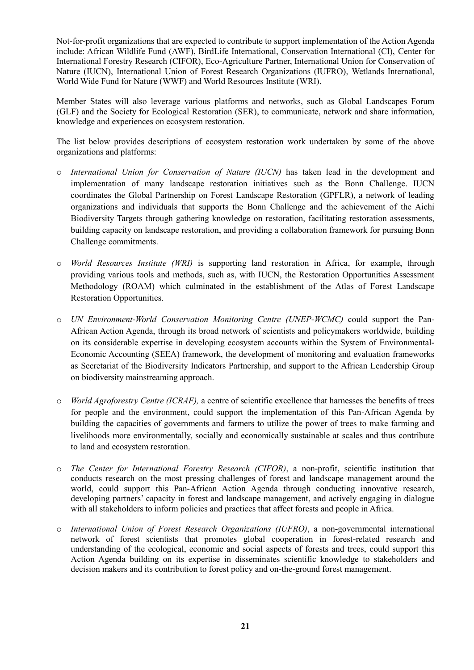Not-for-profit organizations that are expected to contribute to support implementation of the Action Agenda include: African Wildlife Fund (AWF), BirdLife International, Conservation International (CI), Center for International Forestry Research (CIFOR), Eco-Agriculture Partner, International Union for Conservation of Nature (IUCN), International Union of Forest Research Organizations (IUFRO), Wetlands International, World Wide Fund for Nature (WWF) and World Resources Institute (WRI).

Member States will also leverage various platforms and networks, such as Global Landscapes Forum (GLF) and the Society for Ecological Restoration (SER), to communicate, network and share information, knowledge and experiences on ecosystem restoration.

The list below provides descriptions of ecosystem restoration work undertaken by some of the above organizations and platforms:

- o *International Union for Conservation of Nature (IUCN)* has taken lead in the development and implementation of many landscape restoration initiatives such as the Bonn Challenge. IUCN coordinates the Global Partnership on Forest Landscape Restoration (GPFLR), a network of leading organizations and individuals that supports the Bonn Challenge and the achievement of the Aichi Biodiversity Targets through gathering knowledge on restoration, facilitating restoration assessments, building capacity on landscape restoration, and providing a collaboration framework for pursuing Bonn Challenge commitments.
- o *World Resources Institute (WRI)* is supporting land restoration in Africa, for example, through providing various tools and methods, such as, with IUCN, the Restoration Opportunities Assessment Methodology (ROAM) which culminated in the establishment of the Atlas of Forest Landscape Restoration Opportunities.
- o *UN Environment-World Conservation Monitoring Centre (UNEP-WCMC)* could support the Pan-African Action Agenda, through its broad network of scientists and policymakers worldwide, building on its considerable expertise in developing ecosystem accounts within the System of Environmental-Economic Accounting (SEEA) framework, the development of monitoring and evaluation frameworks as Secretariat of the Biodiversity Indicators Partnership, and support to the African Leadership Group on biodiversity mainstreaming approach.
- o *World Agroforestry Centre (ICRAF),* a centre of scientific excellence that harnesses the benefits of trees for people and the environment, could support the implementation of this Pan-African Agenda by building the capacities of governments and farmers to utilize the power of trees to make farming and livelihoods more environmentally, socially and economically sustainable at scales and thus contribute to land and ecosystem restoration.
- o *The Center for International Forestry Research (CIFOR)*, a non-profit, scientific institution that conducts research on the most pressing challenges of forest and landscape management around the world, could support this Pan-African Action Agenda through conducting innovative research, developing partners' capacity in forest and landscape management, and actively engaging in dialogue with all stakeholders to inform policies and practices that affect forests and people in Africa.
- o *International Union of Forest Research Organizations (IUFRO)*, a non-governmental international network of forest scientists that promotes global cooperation in forest-related research and understanding of the ecological, economic and social aspects of forests and trees, could support this Action Agenda building on its expertise in disseminates scientific knowledge to stakeholders and decision makers and its contribution to forest policy and on-the-ground forest management.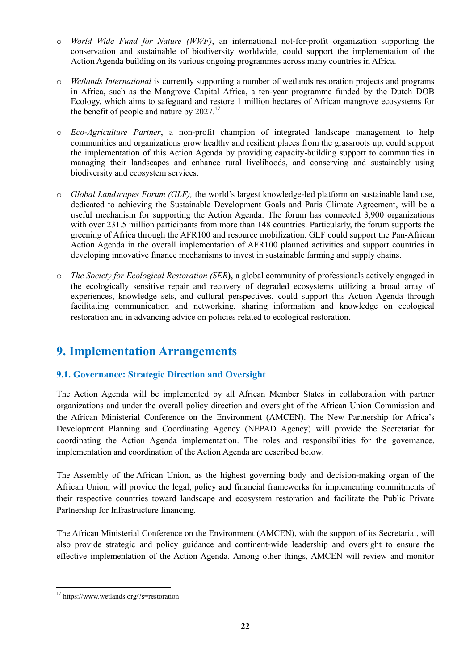- o *World Wide Fund for Nature (WWF)*, an international not-for-profit organization supporting the conservation and sustainable of biodiversity worldwide, could support the implementation of the Action Agenda building on its various ongoing programmes across many countries in Africa.
- o *Wetlands International* is currently supporting a number of wetlands restoration projects and programs in Africa, such as the Mangrove Capital Africa, a ten-year programme funded by the Dutch DOB Ecology, which aims to safeguard and restore 1 million hectares of African mangrove ecosystems for the benefit of people and nature by  $2027$ .<sup>17</sup>
- o *Eco-Agriculture Partner*, a non-profit champion of integrated landscape management to help communities and organizations grow healthy and resilient places from the grassroots up, could support the implementation of this Action Agenda by providing capacity-building support to communities in managing their landscapes and enhance rural livelihoods, and conserving and sustainably using biodiversity and ecosystem services.
- o *Global Landscapes Forum (GLF),* the world's largest knowledge-led platform on sustainable land use, dedicated to achieving the Sustainable Development Goals and Paris Climate Agreement, will be a useful mechanism for supporting the Action Agenda. The forum has connected 3,900 organizations with over 231.5 million participants from more than 148 countries. Particularly, the forum supports the greening of Africa through the AFR100 and resource mobilization. GLF could support the Pan-African Action Agenda in the overall implementation of AFR100 planned activities and support countries in developing innovative finance mechanisms to invest in sustainable farming and supply chains.
- o *The Society for Ecological Restoration (SER***)**, a global community of professionals actively engaged in the ecologically sensitive repair and recovery of degraded ecosystems utilizing a broad array of experiences, knowledge sets, and cultural perspectives, could support this Action Agenda through facilitating communication and networking, sharing information and knowledge on ecological restoration and in advancing advice on policies related to ecological restoration.

## **9. Implementation Arrangements**

## **9.1. Governance: Strategic Direction and Oversight**

The Action Agenda will be implemented by all African Member States in collaboration with partner organizations and under the overall policy direction and oversight of the African Union Commission and the African Ministerial Conference on the Environment (AMCEN). The New Partnership for Africa's Development Planning and Coordinating Agency (NEPAD Agency) will provide the Secretariat for coordinating the Action Agenda implementation. The roles and responsibilities for the governance, implementation and coordination of the Action Agenda are described below.

The Assembly of the African Union, as the highest governing body and decision-making organ of the African Union, will provide the legal, policy and financial frameworks for implementing commitments of their respective countries toward landscape and ecosystem restoration and facilitate the Public Private Partnership for Infrastructure financing.

The African Ministerial Conference on the Environment (AMCEN), with the support of its Secretariat, will also provide strategic and policy guidance and continent-wide leadership and oversight to ensure the effective implementation of the Action Agenda. Among other things, AMCEN will review and monitor

 $\overline{a}$ <sup>17</sup> https://www.wetlands.org/?s=restoration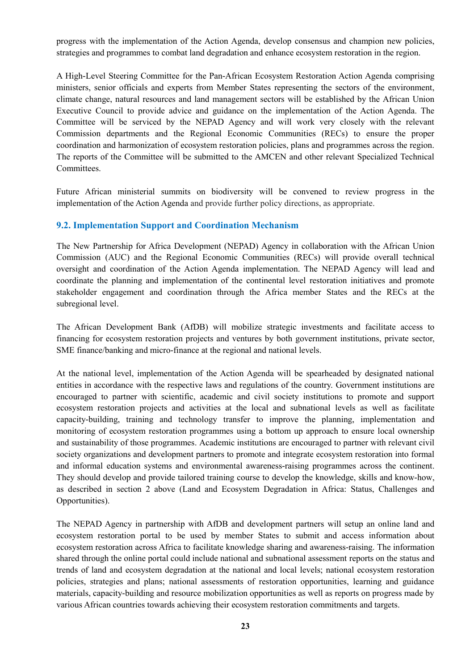progress with the implementation of the Action Agenda, develop consensus and champion new policies, strategies and programmes to combat land degradation and enhance ecosystem restoration in the region.

A High-Level Steering Committee for the Pan-African Ecosystem Restoration Action Agenda comprising ministers, senior officials and experts from Member States representing the sectors of the environment, climate change, natural resources and land management sectors will be established by the African Union Executive Council to provide advice and guidance on the implementation of the Action Agenda. The Committee will be serviced by the NEPAD Agency and will work very closely with the relevant Commission departments and the Regional Economic Communities (RECs) to ensure the proper coordination and harmonization of ecosystem restoration policies, plans and programmes across the region. The reports of the Committee will be submitted to the AMCEN and other relevant Specialized Technical Committees.

Future African ministerial summits on biodiversity will be convened to review progress in the implementation of the Action Agenda and provide further policy directions, as appropriate.

### **9.2. Implementation Support and Coordination Mechanism**

The New Partnership for Africa Development (NEPAD) Agency in collaboration with the African Union Commission (AUC) and the Regional Economic Communities (RECs) will provide overall technical oversight and coordination of the Action Agenda implementation. The NEPAD Agency will lead and coordinate the planning and implementation of the continental level restoration initiatives and promote stakeholder engagement and coordination through the Africa member States and the RECs at the subregional level.

The African Development Bank (AfDB) will mobilize strategic investments and facilitate access to financing for ecosystem restoration projects and ventures by both government institutions, private sector, SME finance/banking and micro-finance at the regional and national levels.

At the national level, implementation of the Action Agenda will be spearheaded by designated national entities in accordance with the respective laws and regulations of the country. Government institutions are encouraged to partner with scientific, academic and civil society institutions to promote and support ecosystem restoration projects and activities at the local and subnational levels as well as facilitate capacity-building, training and technology transfer to improve the planning, implementation and monitoring of ecosystem restoration programmes using a bottom up approach to ensure local ownership and sustainability of those programmes. Academic institutions are encouraged to partner with relevant civil society organizations and development partners to promote and integrate ecosystem restoration into formal and informal education systems and environmental awareness-raising programmes across the continent. They should develop and provide tailored training course to develop the knowledge, skills and know-how, as described in section 2 above (Land and Ecosystem Degradation in Africa: Status, Challenges and Opportunities).

The NEPAD Agency in partnership with AfDB and development partners will setup an online land and ecosystem restoration portal to be used by member States to submit and access information about ecosystem restoration across Africa to facilitate knowledge sharing and awareness-raising. The information shared through the online portal could include national and subnational assessment reports on the status and trends of land and ecosystem degradation at the national and local levels; national ecosystem restoration policies, strategies and plans; national assessments of restoration opportunities, learning and guidance materials, capacity-building and resource mobilization opportunities as well as reports on progress made by various African countries towards achieving their ecosystem restoration commitments and targets.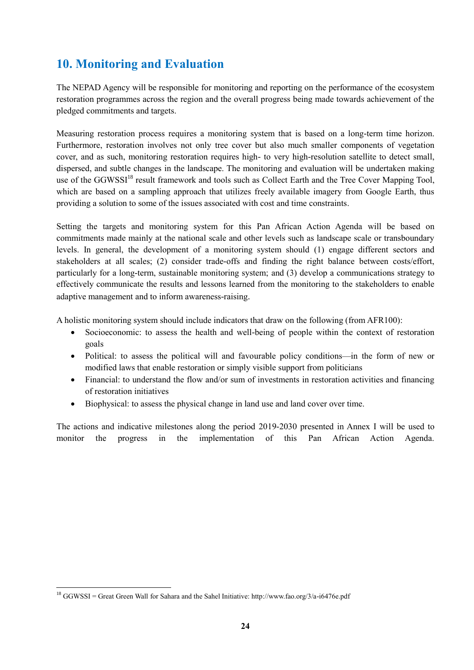## **10. Monitoring and Evaluation**

The NEPAD Agency will be responsible for monitoring and reporting on the performance of the ecosystem restoration programmes across the region and the overall progress being made towards achievement of the pledged commitments and targets.

Measuring restoration process requires a monitoring system that is based on a long-term time horizon. Furthermore, restoration involves not only tree cover but also much smaller components of vegetation cover, and as such, monitoring restoration requires high- to very high-resolution satellite to detect small, dispersed, and subtle changes in the landscape. The monitoring and evaluation will be undertaken making use of the GGWSSI<sup>18</sup> result framework and tools such as Collect Earth and the Tree Cover Mapping Tool, which are based on a sampling approach that utilizes freely available imagery from Google Earth, thus providing a solution to some of the issues associated with cost and time constraints.

Setting the targets and monitoring system for this Pan African Action Agenda will be based on commitments made mainly at the national scale and other levels such as landscape scale or transboundary levels. In general, the development of a monitoring system should (1) engage different sectors and stakeholders at all scales; (2) consider trade-offs and finding the right balance between costs/effort, particularly for a long-term, sustainable monitoring system; and (3) develop a communications strategy to effectively communicate the results and lessons learned from the monitoring to the stakeholders to enable adaptive management and to inform awareness-raising.

A holistic monitoring system should include indicators that draw on the following (from AFR100):

- Socioeconomic: to assess the health and well-being of people within the context of restoration goals
- Political: to assess the political will and favourable policy conditions—in the form of new or modified laws that enable restoration or simply visible support from politicians
- Financial: to understand the flow and/or sum of investments in restoration activities and financing of restoration initiatives
- Biophysical: to assess the physical change in land use and land cover over time.

The actions and indicative milestones along the period 2019-2030 presented in Annex I will be used to monitor the progress in the implementation of this Pan African Action Agenda.

<sup>18</sup> GGWSSI = Great Green Wall for Sahara and the Sahel Initiative: http://www.fao.org/3/a-i6476e.pdf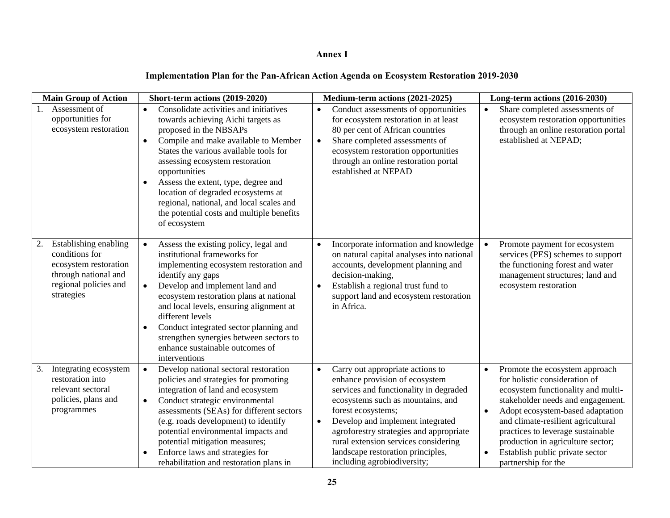### **Annex I**

## **Implementation Plan for the Pan-African Action Agenda on Ecosystem Restoration 2019-2030**

| <b>Main Group of Action</b>                                                                                                     | Short-term actions (2019-2020)                                                                                                                                                                                                                                                                                                                                                                                                                                            | Medium-term actions (2021-2025)                                                                                                                                                                                                                                                                                                                                                              | Long-term actions (2016-2030)                                                                                                                                                                                                                                                                                                                                                                   |
|---------------------------------------------------------------------------------------------------------------------------------|---------------------------------------------------------------------------------------------------------------------------------------------------------------------------------------------------------------------------------------------------------------------------------------------------------------------------------------------------------------------------------------------------------------------------------------------------------------------------|----------------------------------------------------------------------------------------------------------------------------------------------------------------------------------------------------------------------------------------------------------------------------------------------------------------------------------------------------------------------------------------------|-------------------------------------------------------------------------------------------------------------------------------------------------------------------------------------------------------------------------------------------------------------------------------------------------------------------------------------------------------------------------------------------------|
| Assessment of<br>opportunities for<br>ecosystem restoration                                                                     | Consolidate activities and initiatives<br>$\bullet$<br>towards achieving Aichi targets as<br>proposed in the NBSAPs<br>Compile and make available to Member<br>$\bullet$<br>States the various available tools for<br>assessing ecosystem restoration<br>opportunities<br>Assess the extent, type, degree and<br>$\bullet$<br>location of degraded ecosystems at<br>regional, national, and local scales and<br>the potential costs and multiple benefits<br>of ecosystem | Conduct assessments of opportunities<br>$\bullet$<br>for ecosystem restoration in at least<br>80 per cent of African countries<br>Share completed assessments of<br>$\bullet$<br>ecosystem restoration opportunities<br>through an online restoration portal<br>established at NEPAD                                                                                                         | Share completed assessments of<br>$\bullet$<br>ecosystem restoration opportunities<br>through an online restoration portal<br>established at NEPAD;                                                                                                                                                                                                                                             |
| Establishing enabling<br>conditions for<br>ecosystem restoration<br>through national and<br>regional policies and<br>strategies | Assess the existing policy, legal and<br>$\bullet$<br>institutional frameworks for<br>implementing ecosystem restoration and<br>identify any gaps<br>Develop and implement land and<br>$\bullet$<br>ecosystem restoration plans at national<br>and local levels, ensuring alignment at<br>different levels<br>Conduct integrated sector planning and<br>٠<br>strengthen synergies between sectors to<br>enhance sustainable outcomes of<br>interventions                  | Incorporate information and knowledge<br>on natural capital analyses into national<br>accounts, development planning and<br>decision-making,<br>Establish a regional trust fund to<br>support land and ecosystem restoration<br>in Africa.                                                                                                                                                   | Promote payment for ecosystem<br>services (PES) schemes to support<br>the functioning forest and water<br>management structures; land and<br>ecosystem restoration                                                                                                                                                                                                                              |
| Integrating ecosystem<br>3.<br>restoration into<br>relevant sectoral<br>policies, plans and<br>programmes                       | Develop national sectoral restoration<br>$\bullet$<br>policies and strategies for promoting<br>integration of land and ecosystem<br>Conduct strategic environmental<br>$\bullet$<br>assessments (SEAs) for different sectors<br>(e.g. roads development) to identify<br>potential environmental impacts and<br>potential mitigation measures;<br>Enforce laws and strategies for<br>rehabilitation and restoration plans in                                               | Carry out appropriate actions to<br>$\bullet$<br>enhance provision of ecosystem<br>services and functionality in degraded<br>ecosystems such as mountains, and<br>forest ecosystems;<br>Develop and implement integrated<br>$\bullet$<br>agroforestry strategies and appropriate<br>rural extension services considering<br>landscape restoration principles,<br>including agrobiodiversity; | Promote the ecosystem approach<br>$\bullet$<br>for holistic consideration of<br>ecosystem functionality and multi-<br>stakeholder needs and engagement.<br>Adopt ecosystem-based adaptation<br>$\bullet$<br>and climate-resilient agricultural<br>practices to leverage sustainable<br>production in agriculture sector;<br>Establish public private sector<br>$\bullet$<br>partnership for the |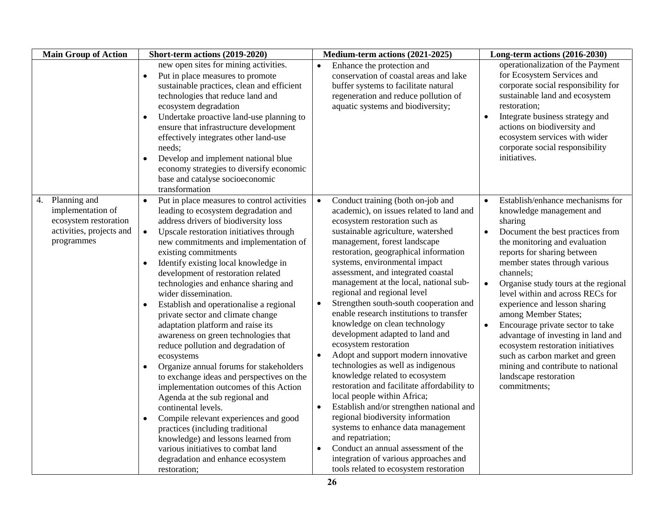| <b>Main Group of Action</b>                                                                                | Short-term actions (2019-2020)                                                                                                                                                                                                                                                                                                                                                                                                                                                                                                                                                                                                                                                                                                                                                                                                                                                                                                                                                                                                                                                                  | Medium-term actions (2021-2025)                                                                                                                                                                                                                                                                                                                                                                                                                                                                                                                                                                                                                                                                                                                                                                                                                                                                                                                                                                                                                                                                      | Long-term actions (2016-2030)                                                                                                                                                                                                                                                                                                                                                                                                                                                                                                                                                                                                         |
|------------------------------------------------------------------------------------------------------------|-------------------------------------------------------------------------------------------------------------------------------------------------------------------------------------------------------------------------------------------------------------------------------------------------------------------------------------------------------------------------------------------------------------------------------------------------------------------------------------------------------------------------------------------------------------------------------------------------------------------------------------------------------------------------------------------------------------------------------------------------------------------------------------------------------------------------------------------------------------------------------------------------------------------------------------------------------------------------------------------------------------------------------------------------------------------------------------------------|------------------------------------------------------------------------------------------------------------------------------------------------------------------------------------------------------------------------------------------------------------------------------------------------------------------------------------------------------------------------------------------------------------------------------------------------------------------------------------------------------------------------------------------------------------------------------------------------------------------------------------------------------------------------------------------------------------------------------------------------------------------------------------------------------------------------------------------------------------------------------------------------------------------------------------------------------------------------------------------------------------------------------------------------------------------------------------------------------|---------------------------------------------------------------------------------------------------------------------------------------------------------------------------------------------------------------------------------------------------------------------------------------------------------------------------------------------------------------------------------------------------------------------------------------------------------------------------------------------------------------------------------------------------------------------------------------------------------------------------------------|
|                                                                                                            | new open sites for mining activities.<br>Put in place measures to promote<br>$\bullet$<br>sustainable practices, clean and efficient<br>technologies that reduce land and<br>ecosystem degradation<br>Undertake proactive land-use planning to<br>ensure that infrastructure development<br>effectively integrates other land-use<br>needs;<br>Develop and implement national blue<br>$\bullet$<br>economy strategies to diversify economic<br>base and catalyse socioeconomic<br>transformation                                                                                                                                                                                                                                                                                                                                                                                                                                                                                                                                                                                                | Enhance the protection and<br>$\bullet$<br>conservation of coastal areas and lake<br>buffer systems to facilitate natural<br>regeneration and reduce pollution of<br>aquatic systems and biodiversity;                                                                                                                                                                                                                                                                                                                                                                                                                                                                                                                                                                                                                                                                                                                                                                                                                                                                                               | operationalization of the Payment<br>for Ecosystem Services and<br>corporate social responsibility for<br>sustainable land and ecosystem<br>restoration;<br>Integrate business strategy and<br>$\bullet$<br>actions on biodiversity and<br>ecosystem services with wider<br>corporate social responsibility<br>initiatives.                                                                                                                                                                                                                                                                                                           |
| Planning and<br>4.<br>implementation of<br>ecosystem restoration<br>activities, projects and<br>programmes | Put in place measures to control activities<br>$\bullet$<br>leading to ecosystem degradation and<br>address drivers of biodiversity loss<br>Upscale restoration initiatives through<br>$\bullet$<br>new commitments and implementation of<br>existing commitments<br>Identify existing local knowledge in<br>$\bullet$<br>development of restoration related<br>technologies and enhance sharing and<br>wider dissemination.<br>Establish and operationalise a regional<br>$\bullet$<br>private sector and climate change<br>adaptation platform and raise its<br>awareness on green technologies that<br>reduce pollution and degradation of<br>ecosystems<br>Organize annual forums for stakeholders<br>$\bullet$<br>to exchange ideas and perspectives on the<br>implementation outcomes of this Action<br>Agenda at the sub regional and<br>continental levels.<br>Compile relevant experiences and good<br>$\bullet$<br>practices (including traditional<br>knowledge) and lessons learned from<br>various initiatives to combat land<br>degradation and enhance ecosystem<br>restoration; | Conduct training (both on-job and<br>$\bullet$<br>academic), on issues related to land and<br>ecosystem restoration such as<br>sustainable agriculture, watershed<br>management, forest landscape<br>restoration, geographical information<br>systems, environmental impact<br>assessment, and integrated coastal<br>management at the local, national sub-<br>regional and regional level<br>Strengthen south-south cooperation and<br>$\bullet$<br>enable research institutions to transfer<br>knowledge on clean technology<br>development adapted to land and<br>ecosystem restoration<br>Adopt and support modern innovative<br>$\bullet$<br>technologies as well as indigenous<br>knowledge related to ecosystem<br>restoration and facilitate affordability to<br>local people within Africa;<br>Establish and/or strengthen national and<br>$\bullet$<br>regional biodiversity information<br>systems to enhance data management<br>and repatriation;<br>Conduct an annual assessment of the<br>$\bullet$<br>integration of various approaches and<br>tools related to ecosystem restoration | Establish/enhance mechanisms for<br>$\bullet$<br>knowledge management and<br>sharing<br>Document the best practices from<br>the monitoring and evaluation<br>reports for sharing between<br>member states through various<br>channels;<br>Organise study tours at the regional<br>$\bullet$<br>level within and across RECs for<br>experience and lesson sharing<br>among Member States;<br>Encourage private sector to take<br>$\bullet$<br>advantage of investing in land and<br>ecosystem restoration initiatives<br>such as carbon market and green<br>mining and contribute to national<br>landscape restoration<br>commitments; |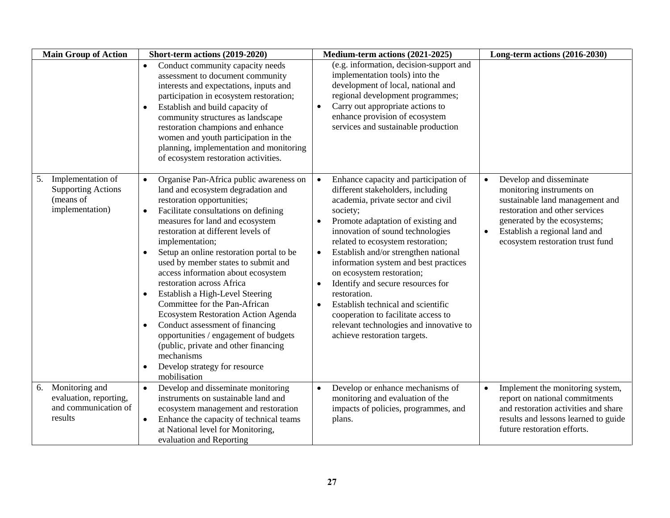| <b>Main Group of Action</b>                                                          | Short-term actions (2019-2020)                                                                                                                                                                                                                                                                                                                                                                                                                                                                                                                                                                                                                                                                                                                               | Medium-term actions (2021-2025)                                                                                                                                                                                                                                                                                                                                                                                                                                                                                                                                                                                            | Long-term actions (2016-2030)                                                                                                                                                                                                                            |
|--------------------------------------------------------------------------------------|--------------------------------------------------------------------------------------------------------------------------------------------------------------------------------------------------------------------------------------------------------------------------------------------------------------------------------------------------------------------------------------------------------------------------------------------------------------------------------------------------------------------------------------------------------------------------------------------------------------------------------------------------------------------------------------------------------------------------------------------------------------|----------------------------------------------------------------------------------------------------------------------------------------------------------------------------------------------------------------------------------------------------------------------------------------------------------------------------------------------------------------------------------------------------------------------------------------------------------------------------------------------------------------------------------------------------------------------------------------------------------------------------|----------------------------------------------------------------------------------------------------------------------------------------------------------------------------------------------------------------------------------------------------------|
|                                                                                      | Conduct community capacity needs<br>$\bullet$<br>assessment to document community<br>interests and expectations, inputs and<br>participation in ecosystem restoration;<br>Establish and build capacity of<br>$\bullet$<br>community structures as landscape<br>restoration champions and enhance<br>women and youth participation in the<br>planning, implementation and monitoring<br>of ecosystem restoration activities.                                                                                                                                                                                                                                                                                                                                  | (e.g. information, decision-support and<br>implementation tools) into the<br>development of local, national and<br>regional development programmes;<br>Carry out appropriate actions to<br>$\bullet$<br>enhance provision of ecosystem<br>services and sustainable production                                                                                                                                                                                                                                                                                                                                              |                                                                                                                                                                                                                                                          |
| Implementation of<br>5.<br><b>Supporting Actions</b><br>(means of<br>implementation) | Organise Pan-Africa public awareness on<br>$\bullet$<br>land and ecosystem degradation and<br>restoration opportunities;<br>Facilitate consultations on defining<br>$\bullet$<br>measures for land and ecosystem<br>restoration at different levels of<br>implementation;<br>Setup an online restoration portal to be<br>$\bullet$<br>used by member states to submit and<br>access information about ecosystem<br>restoration across Africa<br>Establish a High-Level Steering<br>٠<br>Committee for the Pan-African<br>Ecosystem Restoration Action Agenda<br>Conduct assessment of financing<br>$\bullet$<br>opportunities / engagement of budgets<br>(public, private and other financing<br>mechanisms<br>Develop strategy for resource<br>mobilisation | Enhance capacity and participation of<br>$\bullet$<br>different stakeholders, including<br>academia, private sector and civil<br>society;<br>Promote adaptation of existing and<br>innovation of sound technologies<br>related to ecosystem restoration;<br>Establish and/or strengthen national<br>$\bullet$<br>information system and best practices<br>on ecosystem restoration;<br>Identify and secure resources for<br>$\bullet$<br>restoration.<br>Establish technical and scientific<br>$\bullet$<br>cooperation to facilitate access to<br>relevant technologies and innovative to<br>achieve restoration targets. | Develop and disseminate<br>$\bullet$<br>monitoring instruments on<br>sustainable land management and<br>restoration and other services<br>generated by the ecosystems;<br>Establish a regional land and<br>$\bullet$<br>ecosystem restoration trust fund |
| Monitoring and<br>6.<br>evaluation, reporting,<br>and communication of<br>results    | Develop and disseminate monitoring<br>instruments on sustainable land and<br>ecosystem management and restoration<br>Enhance the capacity of technical teams<br>at National level for Monitoring,<br>evaluation and Reporting                                                                                                                                                                                                                                                                                                                                                                                                                                                                                                                                | Develop or enhance mechanisms of<br>monitoring and evaluation of the<br>impacts of policies, programmes, and<br>plans.                                                                                                                                                                                                                                                                                                                                                                                                                                                                                                     | Implement the monitoring system,<br>report on national commitments<br>and restoration activities and share<br>results and lessons learned to guide<br>future restoration efforts.                                                                        |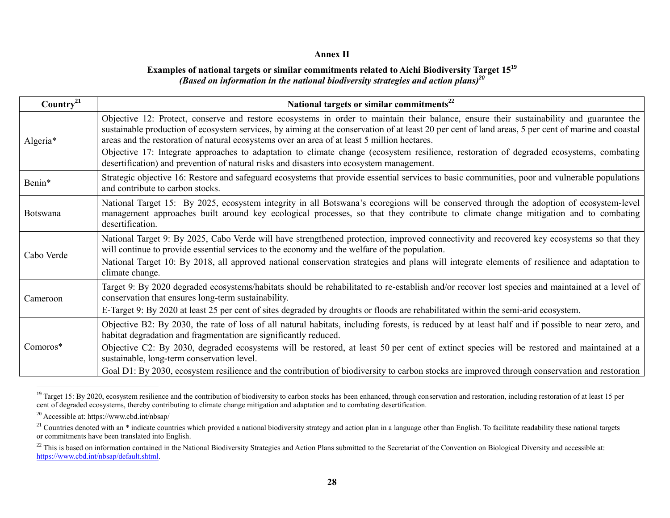#### **Annex II**

#### **Examples of national targets or similar commitments related to Aichi Biodiversity Target 15<sup>19</sup>** *(Based on information in the national biodiversity strategies and action plans) 20*

| Country <sup>21</sup> | National targets or similar commitments <sup>22</sup>                                                                                                                                                                                                                                                                                                                                                                                                                                                                                      |
|-----------------------|--------------------------------------------------------------------------------------------------------------------------------------------------------------------------------------------------------------------------------------------------------------------------------------------------------------------------------------------------------------------------------------------------------------------------------------------------------------------------------------------------------------------------------------------|
| Algeria*              | Objective 12: Protect, conserve and restore ecosystems in order to maintain their balance, ensure their sustainability and guarantee the<br>sustainable production of ecosystem services, by aiming at the conservation of at least 20 per cent of land areas, 5 per cent of marine and coastal<br>areas and the restoration of natural ecosystems over an area of at least 5 million hectares.<br>Objective 17: Integrate approaches to adaptation to climate change (ecosystem resilience, restoration of degraded ecosystems, combating |
|                       | desertification) and prevention of natural risks and disasters into ecosystem management.                                                                                                                                                                                                                                                                                                                                                                                                                                                  |
| Benin*                | Strategic objective 16: Restore and safeguard ecosystems that provide essential services to basic communities, poor and vulnerable populations<br>and contribute to carbon stocks.                                                                                                                                                                                                                                                                                                                                                         |
| <b>Botswana</b>       | National Target 15: By 2025, ecosystem integrity in all Botswana's ecoregions will be conserved through the adoption of ecosystem-level<br>management approaches built around key ecological processes, so that they contribute to climate change mitigation and to combating<br>desertification.                                                                                                                                                                                                                                          |
| Cabo Verde            | National Target 9: By 2025, Cabo Verde will have strengthened protection, improved connectivity and recovered key ecosystems so that they<br>will continue to provide essential services to the economy and the welfare of the population.                                                                                                                                                                                                                                                                                                 |
|                       | National Target 10: By 2018, all approved national conservation strategies and plans will integrate elements of resilience and adaptation to<br>climate change.                                                                                                                                                                                                                                                                                                                                                                            |
| Cameroon              | Target 9: By 2020 degraded ecosystems/habitats should be rehabilitated to re-establish and/or recover lost species and maintained at a level of<br>conservation that ensures long-term sustainability.                                                                                                                                                                                                                                                                                                                                     |
|                       | E-Target 9: By 2020 at least 25 per cent of sites degraded by droughts or floods are rehabilitated within the semi-arid ecosystem.                                                                                                                                                                                                                                                                                                                                                                                                         |
| Comoros*              | Objective B2: By 2030, the rate of loss of all natural habitats, including forests, is reduced by at least half and if possible to near zero, and<br>habitat degradation and fragmentation are significantly reduced.                                                                                                                                                                                                                                                                                                                      |
|                       | Objective C2: By 2030, degraded ecosystems will be restored, at least 50 per cent of extinct species will be restored and maintained at a<br>sustainable, long-term conservation level.                                                                                                                                                                                                                                                                                                                                                    |
|                       | Goal D1: By 2030, ecosystem resilience and the contribution of biodiversity to carbon stocks are improved through conservation and restoration                                                                                                                                                                                                                                                                                                                                                                                             |

<sup>&</sup>lt;sup>19</sup> Target 15: By 2020, ecosystem resilience and the contribution of biodiversity to carbon stocks has been enhanced, through conservation and restoration, including restoration of at least 15 per cent of degraded ecosystems, thereby contributing to climate change mitigation and adaptation and to combating desertification.

<sup>20</sup> Accessible at: https://www.cbd.int/nbsap/

<sup>&</sup>lt;sup>21</sup> Countries denoted with an \* indicate countries which provided a national biodiversity strategy and action plan in a language other than English. To facilitate readability these national targets or commitments have been translated into English.

<sup>&</sup>lt;sup>22</sup> This is based on information contained in the National Biodiversity Strategies and Action Plans submitted to the Secretariat of the Convention on Biological Diversity and accessible at: [https://www.cbd.int/nbsap/default.shtml.](https://www.cbd.int/nbsap/default.shtml)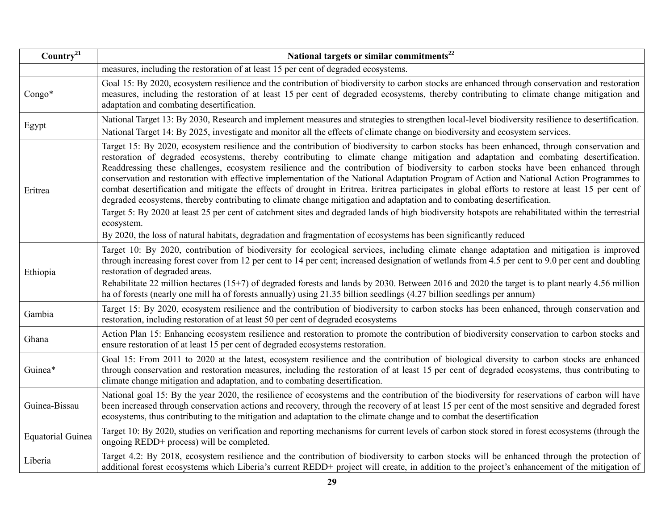| Country <sup>21</sup>    | National targets or similar commitments <sup>22</sup>                                                                                                                                                                                                                                                                                                                                                                                                                                                                                                                                                                                                                                                                                                                                                                                                                                                                                                                                                                                                                                                                                           |  |  |  |
|--------------------------|-------------------------------------------------------------------------------------------------------------------------------------------------------------------------------------------------------------------------------------------------------------------------------------------------------------------------------------------------------------------------------------------------------------------------------------------------------------------------------------------------------------------------------------------------------------------------------------------------------------------------------------------------------------------------------------------------------------------------------------------------------------------------------------------------------------------------------------------------------------------------------------------------------------------------------------------------------------------------------------------------------------------------------------------------------------------------------------------------------------------------------------------------|--|--|--|
|                          | measures, including the restoration of at least 15 per cent of degraded ecosystems.                                                                                                                                                                                                                                                                                                                                                                                                                                                                                                                                                                                                                                                                                                                                                                                                                                                                                                                                                                                                                                                             |  |  |  |
| $Congo*$                 | Goal 15: By 2020, ecosystem resilience and the contribution of biodiversity to carbon stocks are enhanced through conservation and restoration<br>measures, including the restoration of at least 15 per cent of degraded ecosystems, thereby contributing to climate change mitigation and<br>adaptation and combating desertification.                                                                                                                                                                                                                                                                                                                                                                                                                                                                                                                                                                                                                                                                                                                                                                                                        |  |  |  |
| Egypt                    | National Target 13: By 2030, Research and implement measures and strategies to strengthen local-level biodiversity resilience to desertification.<br>National Target 14: By 2025, investigate and monitor all the effects of climate change on biodiversity and ecosystem services.                                                                                                                                                                                                                                                                                                                                                                                                                                                                                                                                                                                                                                                                                                                                                                                                                                                             |  |  |  |
| Eritrea                  | Target 15: By 2020, ecosystem resilience and the contribution of biodiversity to carbon stocks has been enhanced, through conservation and<br>restoration of degraded ecosystems, thereby contributing to climate change mitigation and adaptation and combating desertification.<br>Readdressing these challenges, ecosystem resilience and the contribution of biodiversity to carbon stocks have been enhanced through<br>conservation and restoration with effective implementation of the National Adaptation Program of Action and National Action Programmes to<br>combat desertification and mitigate the effects of drought in Eritrea. Eritrea participates in global efforts to restore at least 15 per cent of<br>degraded ecosystems, thereby contributing to climate change mitigation and adaptation and to combating desertification.<br>Target 5: By 2020 at least 25 per cent of catchment sites and degraded lands of high biodiversity hotspots are rehabilitated within the terrestrial<br>ecosystem.<br>By 2020, the loss of natural habitats, degradation and fragmentation of ecosystems has been significantly reduced |  |  |  |
| Ethiopia                 | Target 10: By 2020, contribution of biodiversity for ecological services, including climate change adaptation and mitigation is improved<br>through increasing forest cover from 12 per cent to 14 per cent; increased designation of wetlands from 4.5 per cent to 9.0 per cent and doubling<br>restoration of degraded areas.<br>Rehabilitate 22 million hectares (15+7) of degraded forests and lands by 2030. Between 2016 and 2020 the target is to plant nearly 4.56 million<br>ha of forests (nearly one mill ha of forests annually) using 21.35 billion seedlings (4.27 billion seedlings per annum)                                                                                                                                                                                                                                                                                                                                                                                                                                                                                                                                   |  |  |  |
| Gambia                   | Target 15: By 2020, ecosystem resilience and the contribution of biodiversity to carbon stocks has been enhanced, through conservation and<br>restoration, including restoration of at least 50 per cent of degraded ecosystems                                                                                                                                                                                                                                                                                                                                                                                                                                                                                                                                                                                                                                                                                                                                                                                                                                                                                                                 |  |  |  |
| Ghana                    | Action Plan 15: Enhancing ecosystem resilience and restoration to promote the contribution of biodiversity conservation to carbon stocks and<br>ensure restoration of at least 15 per cent of degraded ecosystems restoration.                                                                                                                                                                                                                                                                                                                                                                                                                                                                                                                                                                                                                                                                                                                                                                                                                                                                                                                  |  |  |  |
| Guinea*                  | Goal 15: From 2011 to 2020 at the latest, ecosystem resilience and the contribution of biological diversity to carbon stocks are enhanced<br>through conservation and restoration measures, including the restoration of at least 15 per cent of degraded ecosystems, thus contributing to<br>climate change mitigation and adaptation, and to combating desertification.                                                                                                                                                                                                                                                                                                                                                                                                                                                                                                                                                                                                                                                                                                                                                                       |  |  |  |
| Guinea-Bissau            | National goal 15: By the year 2020, the resilience of ecosystems and the contribution of the biodiversity for reservations of carbon will have<br>been increased through conservation actions and recovery, through the recovery of at least 15 per cent of the most sensitive and degraded forest<br>ecosystems, thus contributing to the mitigation and adaptation to the climate change and to combat the desertification                                                                                                                                                                                                                                                                                                                                                                                                                                                                                                                                                                                                                                                                                                                    |  |  |  |
| <b>Equatorial Guinea</b> | Target 10: By 2020, studies on verification and reporting mechanisms for current levels of carbon stock stored in forest ecosystems (through the<br>ongoing REDD+ process) will be completed.                                                                                                                                                                                                                                                                                                                                                                                                                                                                                                                                                                                                                                                                                                                                                                                                                                                                                                                                                   |  |  |  |
| Liberia                  | Target 4.2: By 2018, ecosystem resilience and the contribution of biodiversity to carbon stocks will be enhanced through the protection of<br>additional forest ecosystems which Liberia's current REDD+ project will create, in addition to the project's enhancement of the mitigation of                                                                                                                                                                                                                                                                                                                                                                                                                                                                                                                                                                                                                                                                                                                                                                                                                                                     |  |  |  |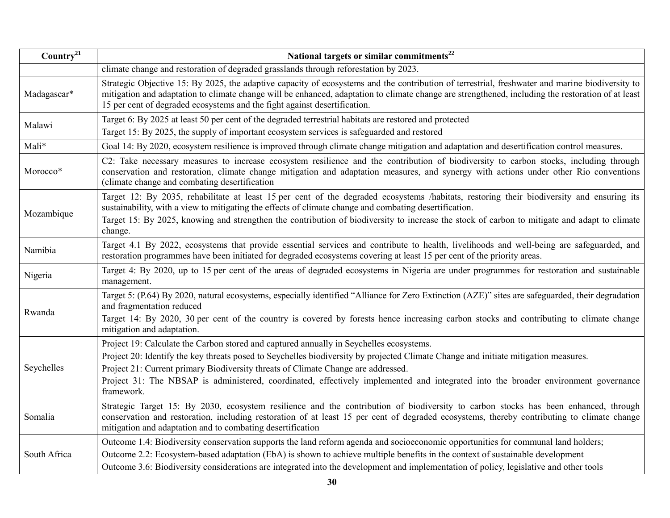| Country <sup>21</sup> | National targets or similar commitments <sup>22</sup>                                                                                                                                                                                                                                                                                                                                                                                                                   |
|-----------------------|-------------------------------------------------------------------------------------------------------------------------------------------------------------------------------------------------------------------------------------------------------------------------------------------------------------------------------------------------------------------------------------------------------------------------------------------------------------------------|
|                       | climate change and restoration of degraded grasslands through reforestation by 2023.                                                                                                                                                                                                                                                                                                                                                                                    |
| Madagascar*           | Strategic Objective 15: By 2025, the adaptive capacity of ecosystems and the contribution of terrestrial, freshwater and marine biodiversity to<br>mitigation and adaptation to climate change will be enhanced, adaptation to climate change are strengthened, including the restoration of at least<br>15 per cent of degraded ecosystems and the fight against desertification.                                                                                      |
| Malawi                | Target 6: By 2025 at least 50 per cent of the degraded terrestrial habitats are restored and protected<br>Target 15: By 2025, the supply of important ecosystem services is safeguarded and restored                                                                                                                                                                                                                                                                    |
| Mali*                 | Goal 14: By 2020, ecosystem resilience is improved through climate change mitigation and adaptation and desertification control measures.                                                                                                                                                                                                                                                                                                                               |
| Morocco*              | C2: Take necessary measures to increase ecosystem resilience and the contribution of biodiversity to carbon stocks, including through<br>conservation and restoration, climate change mitigation and adaptation measures, and synergy with actions under other Rio conventions<br>(climate change and combating desertification                                                                                                                                         |
| Mozambique            | Target 12: By 2035, rehabilitate at least 15 per cent of the degraded ecosystems /habitats, restoring their biodiversity and ensuring its<br>sustainability, with a view to mitigating the effects of climate change and combating desertification.<br>Target 15: By 2025, knowing and strengthen the contribution of biodiversity to increase the stock of carbon to mitigate and adapt to climate<br>change.                                                          |
| Namibia               | Target 4.1 By 2022, ecosystems that provide essential services and contribute to health, livelihoods and well-being are safeguarded, and<br>restoration programmes have been initiated for degraded ecosystems covering at least 15 per cent of the priority areas.                                                                                                                                                                                                     |
| Nigeria               | Target 4: By 2020, up to 15 per cent of the areas of degraded ecosystems in Nigeria are under programmes for restoration and sustainable<br>management.                                                                                                                                                                                                                                                                                                                 |
| Rwanda                | Target 5: (P.64) By 2020, natural ecosystems, especially identified "Alliance for Zero Extinction (AZE)" sites are safeguarded, their degradation<br>and fragmentation reduced<br>Target 14: By 2020, 30 per cent of the country is covered by forests hence increasing carbon stocks and contributing to climate change<br>mitigation and adaptation.                                                                                                                  |
| Seychelles            | Project 19: Calculate the Carbon stored and captured annually in Seychelles ecosystems.<br>Project 20: Identify the key threats posed to Seychelles biodiversity by projected Climate Change and initiate mitigation measures.<br>Project 21: Current primary Biodiversity threats of Climate Change are addressed.<br>Project 31: The NBSAP is administered, coordinated, effectively implemented and integrated into the broader environment governance<br>framework. |
| Somalia               | Strategic Target 15: By 2030, ecosystem resilience and the contribution of biodiversity to carbon stocks has been enhanced, through<br>conservation and restoration, including restoration of at least 15 per cent of degraded ecosystems, thereby contributing to climate change<br>mitigation and adaptation and to combating desertification                                                                                                                         |
| South Africa          | Outcome 1.4: Biodiversity conservation supports the land reform agenda and socioeconomic opportunities for communal land holders;<br>Outcome 2.2: Ecosystem-based adaptation (EbA) is shown to achieve multiple benefits in the context of sustainable development<br>Outcome 3.6: Biodiversity considerations are integrated into the development and implementation of policy, legislative and other tools                                                            |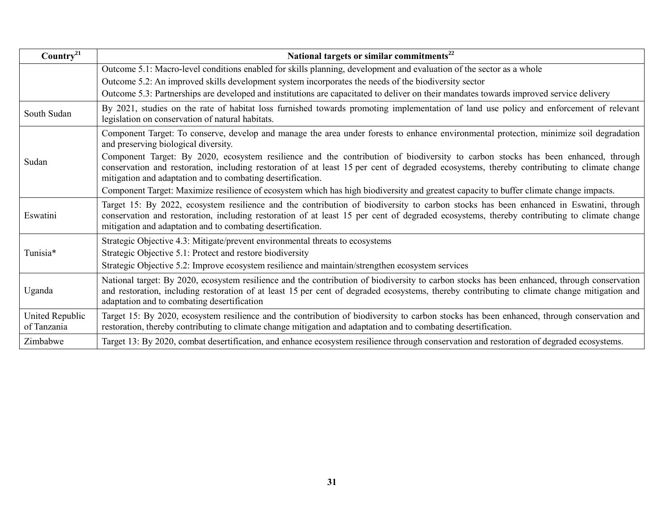| Country <sup>21</sup>          | National targets or similar commitments <sup>22</sup>                                                                                                                                                                                                                                                                                              |
|--------------------------------|----------------------------------------------------------------------------------------------------------------------------------------------------------------------------------------------------------------------------------------------------------------------------------------------------------------------------------------------------|
|                                | Outcome 5.1: Macro-level conditions enabled for skills planning, development and evaluation of the sector as a whole                                                                                                                                                                                                                               |
|                                | Outcome 5.2: An improved skills development system incorporates the needs of the biodiversity sector                                                                                                                                                                                                                                               |
|                                | Outcome 5.3: Partnerships are developed and institutions are capacitated to deliver on their mandates towards improved service delivery                                                                                                                                                                                                            |
| South Sudan                    | By 2021, studies on the rate of habitat loss furnished towards promoting implementation of land use policy and enforcement of relevant<br>legislation on conservation of natural habitats.                                                                                                                                                         |
|                                | Component Target: To conserve, develop and manage the area under forests to enhance environmental protection, minimize soil degradation<br>and preserving biological diversity.                                                                                                                                                                    |
| Sudan                          | Component Target: By 2020, ecosystem resilience and the contribution of biodiversity to carbon stocks has been enhanced, through<br>conservation and restoration, including restoration of at least 15 per cent of degraded ecosystems, thereby contributing to climate change<br>mitigation and adaptation and to combating desertification.      |
|                                | Component Target: Maximize resilience of ecosystem which has high biodiversity and greatest capacity to buffer climate change impacts.                                                                                                                                                                                                             |
| Eswatini                       | Target 15: By 2022, ecosystem resilience and the contribution of biodiversity to carbon stocks has been enhanced in Eswatini, through<br>conservation and restoration, including restoration of at least 15 per cent of degraded ecosystems, thereby contributing to climate change<br>mitigation and adaptation and to combating desertification. |
|                                | Strategic Objective 4.3: Mitigate/prevent environmental threats to ecosystems                                                                                                                                                                                                                                                                      |
| Tunisia*                       | Strategic Objective 5.1: Protect and restore biodiversity                                                                                                                                                                                                                                                                                          |
|                                | Strategic Objective 5.2: Improve ecosystem resilience and maintain/strengthen ecosystem services                                                                                                                                                                                                                                                   |
| Uganda                         | National target: By 2020, ecosystem resilience and the contribution of biodiversity to carbon stocks has been enhanced, through conservation<br>and restoration, including restoration of at least 15 per cent of degraded ecosystems, thereby contributing to climate change mitigation and<br>adaptation and to combating desertification        |
| United Republic<br>of Tanzania | Target 15: By 2020, ecosystem resilience and the contribution of biodiversity to carbon stocks has been enhanced, through conservation and<br>restoration, thereby contributing to climate change mitigation and adaptation and to combating desertification.                                                                                      |
| Zimbabwe                       | Target 13: By 2020, combat desertification, and enhance ecosystem resilience through conservation and restoration of degraded ecosystems.                                                                                                                                                                                                          |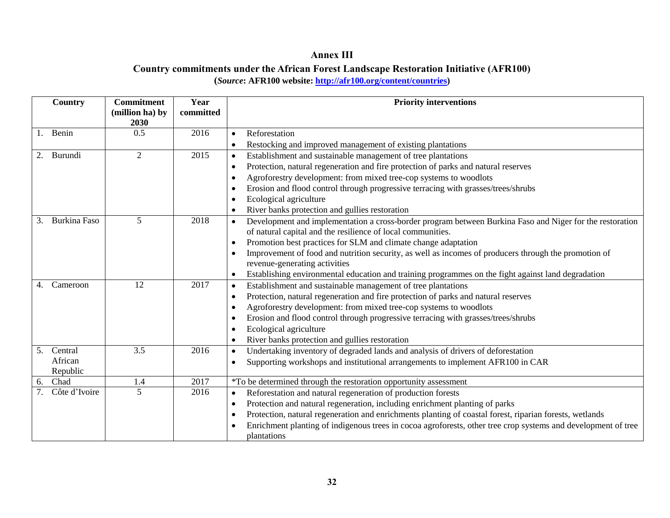## **Annex III Country commitments under the African Forest Landscape Restoration Initiative (AFR100) (***Source***: AFR100 website: [http://afr100.org/content/countries\)](http://afr100.org/content/countries)**

|    | Country             | <b>Commitment</b><br>(million ha) by<br>2030 | Year<br>committed | <b>Priority interventions</b>                                                                                              |
|----|---------------------|----------------------------------------------|-------------------|----------------------------------------------------------------------------------------------------------------------------|
|    | Benin               | 0.5                                          | 2016              | Reforestation<br>$\bullet$                                                                                                 |
|    |                     |                                              |                   | Restocking and improved management of existing plantations<br>$\bullet$                                                    |
| 2. | Burundi             | $\overline{2}$                               | 2015              | Establishment and sustainable management of tree plantations<br>$\bullet$                                                  |
|    |                     |                                              |                   | Protection, natural regeneration and fire protection of parks and natural reserves<br>$\bullet$                            |
|    |                     |                                              |                   | Agroforestry development: from mixed tree-cop systems to woodlots<br>$\bullet$                                             |
|    |                     |                                              |                   | Erosion and flood control through progressive terracing with grasses/trees/shrubs<br>- 0                                   |
|    |                     |                                              |                   | Ecological agriculture<br>- 0                                                                                              |
|    |                     |                                              |                   | River banks protection and gullies restoration<br>$\bullet$                                                                |
| 3. | <b>Burkina Faso</b> | 5                                            | 2018              | Development and implementation a cross-border program between Burkina Faso and Niger for the restoration<br>$\bullet$      |
|    |                     |                                              |                   | of natural capital and the resilience of local communities.                                                                |
|    |                     |                                              |                   | Promotion best practices for SLM and climate change adaptation<br>$\bullet$                                                |
|    |                     |                                              |                   | Improvement of food and nutrition security, as well as incomes of producers through the promotion of<br>- 0                |
|    |                     |                                              |                   | revenue-generating activities                                                                                              |
|    |                     |                                              |                   | Establishing environmental education and training programmes on the fight against land degradation<br>$\bullet$            |
| 4. | Cameroon            | 12                                           | 2017              | Establishment and sustainable management of tree plantations<br>$\bullet$                                                  |
|    |                     |                                              |                   | Protection, natural regeneration and fire protection of parks and natural reserves<br>$\bullet$                            |
|    |                     |                                              |                   | Agroforestry development: from mixed tree-cop systems to woodlots<br>$\bullet$                                             |
|    |                     |                                              |                   | Erosion and flood control through progressive terracing with grasses/trees/shrubs<br>$\bullet$                             |
|    |                     |                                              |                   | Ecological agriculture                                                                                                     |
|    |                     |                                              |                   | River banks protection and gullies restoration<br>$\bullet$                                                                |
| 5. | Central             | 3.5                                          | 2016              | Undertaking inventory of degraded lands and analysis of drivers of deforestation<br>$\bullet$                              |
|    | African<br>Republic |                                              |                   | Supporting workshops and institutional arrangements to implement AFR100 in CAR<br>$\bullet$                                |
| 6. | Chad                | 1.4                                          | 2017              | *To be determined through the restoration opportunity assessment                                                           |
|    | Côte d'Ivoire       | 5                                            | 2016              | Reforestation and natural regeneration of production forests<br>$\bullet$                                                  |
|    |                     |                                              |                   | Protection and natural regeneration, including enrichment planting of parks<br>$\bullet$                                   |
|    |                     |                                              |                   | Protection, natural regeneration and enrichments planting of coastal forest, riparian forests, wetlands<br>$\bullet$       |
|    |                     |                                              |                   | Enrichment planting of indigenous trees in cocoa agroforests, other tree crop systems and development of tree<br>$\bullet$ |
|    |                     |                                              |                   | plantations                                                                                                                |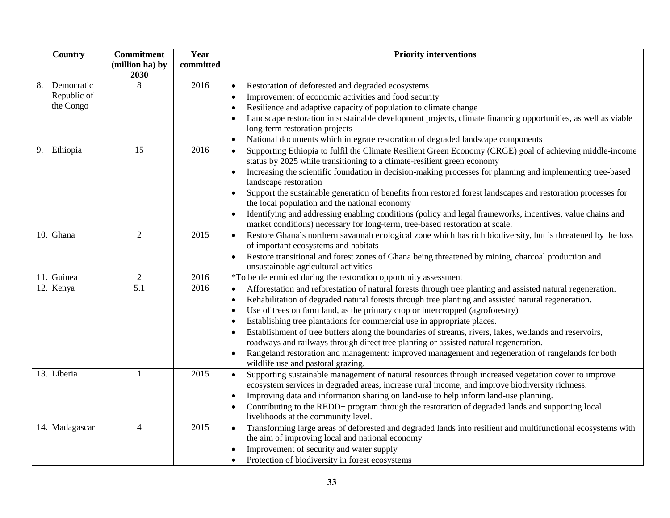| Country                         | <b>Commitment</b>                  | Year         | <b>Priority interventions</b>                                                                                                                                                                                                   |
|---------------------------------|------------------------------------|--------------|---------------------------------------------------------------------------------------------------------------------------------------------------------------------------------------------------------------------------------|
|                                 | (million ha) by                    | committed    |                                                                                                                                                                                                                                 |
|                                 | 2030                               |              |                                                                                                                                                                                                                                 |
| 8.<br>Democratic<br>Republic of | 8                                  | 2016         | Restoration of deforested and degraded ecosystems                                                                                                                                                                               |
| the Congo                       |                                    |              | Improvement of economic activities and food security<br>$\bullet$                                                                                                                                                               |
|                                 |                                    |              | Resilience and adaptive capacity of population to climate change<br>$\bullet$                                                                                                                                                   |
|                                 |                                    |              | Landscape restoration in sustainable development projects, climate financing opportunities, as well as viable<br>long-term restoration projects                                                                                 |
|                                 |                                    |              | National documents which integrate restoration of degraded landscape components                                                                                                                                                 |
| Ethiopia<br>9.                  | 15                                 | 2016         | Supporting Ethiopia to fulfil the Climate Resilient Green Economy (CRGE) goal of achieving middle-income<br>$\bullet$                                                                                                           |
|                                 |                                    |              | status by 2025 while transitioning to a climate-resilient green economy                                                                                                                                                         |
|                                 |                                    |              | Increasing the scientific foundation in decision-making processes for planning and implementing tree-based<br>$\bullet$                                                                                                         |
|                                 |                                    |              | landscape restoration                                                                                                                                                                                                           |
|                                 |                                    |              | Support the sustainable generation of benefits from restored forest landscapes and restoration processes for<br>$\bullet$                                                                                                       |
|                                 |                                    |              | the local population and the national economy                                                                                                                                                                                   |
|                                 |                                    |              | Identifying and addressing enabling conditions (policy and legal frameworks, incentives, value chains and                                                                                                                       |
|                                 |                                    |              | market conditions) necessary for long-term, tree-based restoration at scale.                                                                                                                                                    |
| 10. Ghana                       | $\overline{2}$                     | 2015         | Restore Ghana's northern savannah ecological zone which has rich biodiversity, but is threatened by the loss<br>$\bullet$                                                                                                       |
|                                 |                                    |              | of important ecosystems and habitats                                                                                                                                                                                            |
|                                 |                                    |              | Restore transitional and forest zones of Ghana being threatened by mining, charcoal production and<br>$\bullet$                                                                                                                 |
|                                 |                                    |              | unsustainable agricultural activities                                                                                                                                                                                           |
| 11. Guinea<br>12. Kenya         | $\overline{2}$<br>$\overline{5.1}$ | 2016<br>2016 | *To be determined during the restoration opportunity assessment                                                                                                                                                                 |
|                                 |                                    |              | Afforestation and reforestation of natural forests through tree planting and assisted natural regeneration.<br>$\bullet$<br>Rehabilitation of degraded natural forests through tree planting and assisted natural regeneration. |
|                                 |                                    |              | $\bullet$<br>Use of trees on farm land, as the primary crop or intercropped (agroforestry)                                                                                                                                      |
|                                 |                                    |              | $\bullet$<br>Establishing tree plantations for commercial use in appropriate places.                                                                                                                                            |
|                                 |                                    |              | Establishment of tree buffers along the boundaries of streams, rivers, lakes, wetlands and reservoirs,                                                                                                                          |
|                                 |                                    |              | roadways and railways through direct tree planting or assisted natural regeneration.                                                                                                                                            |
|                                 |                                    |              | Rangeland restoration and management: improved management and regeneration of rangelands for both                                                                                                                               |
|                                 |                                    |              | wildlife use and pastoral grazing.                                                                                                                                                                                              |
| 13. Liberia                     | $\mathbf{1}$                       | 2015         | Supporting sustainable management of natural resources through increased vegetation cover to improve<br>$\bullet$                                                                                                               |
|                                 |                                    |              | ecosystem services in degraded areas, increase rural income, and improve biodiversity richness.                                                                                                                                 |
|                                 |                                    |              | Improving data and information sharing on land-use to help inform land-use planning.<br>$\bullet$                                                                                                                               |
|                                 |                                    |              | Contributing to the REDD+ program through the restoration of degraded lands and supporting local                                                                                                                                |
|                                 |                                    |              | livelihoods at the community level.                                                                                                                                                                                             |
| 14. Madagascar                  | $\overline{4}$                     | 2015         | Transforming large areas of deforested and degraded lands into resilient and multifunctional ecosystems with<br>$\bullet$                                                                                                       |
|                                 |                                    |              | the aim of improving local and national economy                                                                                                                                                                                 |
|                                 |                                    |              | Improvement of security and water supply<br>$\bullet$                                                                                                                                                                           |
|                                 |                                    |              | Protection of biodiversity in forest ecosystems                                                                                                                                                                                 |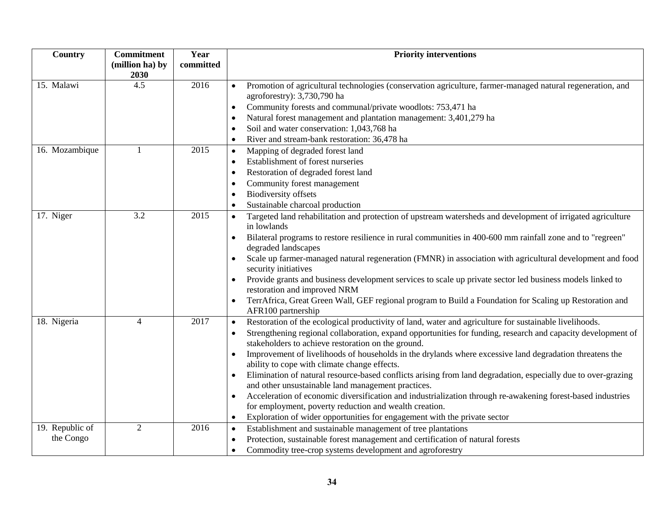| Country         | <b>Commitment</b><br>(million ha) by | Year<br>committed | <b>Priority interventions</b>                                                                                                              |
|-----------------|--------------------------------------|-------------------|--------------------------------------------------------------------------------------------------------------------------------------------|
|                 | 2030                                 |                   |                                                                                                                                            |
| 15. Malawi      | 4.5                                  | 2016              | Promotion of agricultural technologies (conservation agriculture, farmer-managed natural regeneration, and<br>agroforestry): 3,730,790 ha  |
|                 |                                      |                   | Community forests and communal/private woodlots: 753,471 ha<br>$\bullet$                                                                   |
|                 |                                      |                   | Natural forest management and plantation management: 3,401,279 ha<br>- 0                                                                   |
|                 |                                      |                   | Soil and water conservation: 1,043,768 ha                                                                                                  |
|                 |                                      |                   | River and stream-bank restoration: 36,478 ha                                                                                               |
| 16. Mozambique  | 1                                    | 2015              | Mapping of degraded forest land<br>$\bullet$                                                                                               |
|                 |                                      |                   | Establishment of forest nurseries                                                                                                          |
|                 |                                      |                   | Restoration of degraded forest land                                                                                                        |
|                 |                                      |                   | Community forest management                                                                                                                |
|                 |                                      |                   | <b>Biodiversity offsets</b>                                                                                                                |
|                 |                                      |                   | Sustainable charcoal production                                                                                                            |
| 17. Niger       | 3.2                                  | 2015              | Targeted land rehabilitation and protection of upstream watersheds and development of irrigated agriculture                                |
|                 |                                      |                   | in lowlands                                                                                                                                |
|                 |                                      |                   | Bilateral programs to restore resilience in rural communities in 400-600 mm rainfall zone and to "regreen"                                 |
|                 |                                      |                   | degraded landscapes                                                                                                                        |
|                 |                                      |                   | Scale up farmer-managed natural regeneration (FMNR) in association with agricultural development and food                                  |
|                 |                                      |                   | security initiatives                                                                                                                       |
|                 |                                      |                   | Provide grants and business development services to scale up private sector led business models linked to                                  |
|                 |                                      |                   | restoration and improved NRM                                                                                                               |
|                 |                                      |                   | TerrAfrica, Great Green Wall, GEF regional program to Build a Foundation for Scaling up Restoration and<br>$\bullet$<br>AFR100 partnership |
| 18. Nigeria     | $\overline{4}$                       | 2017              | Restoration of the ecological productivity of land, water and agriculture for sustainable livelihoods.<br>$\bullet$                        |
|                 |                                      |                   | Strengthening regional collaboration, expand opportunities for funding, research and capacity development of                               |
|                 |                                      |                   | stakeholders to achieve restoration on the ground.                                                                                         |
|                 |                                      |                   | Improvement of livelihoods of households in the drylands where excessive land degradation threatens the<br>٠                               |
|                 |                                      |                   | ability to cope with climate change effects.                                                                                               |
|                 |                                      |                   | Elimination of natural resource-based conflicts arising from land degradation, especially due to over-grazing                              |
|                 |                                      |                   | and other unsustainable land management practices.                                                                                         |
|                 |                                      |                   | Acceleration of economic diversification and industrialization through re-awakening forest-based industries                                |
|                 |                                      |                   | for employment, poverty reduction and wealth creation.                                                                                     |
|                 |                                      |                   | Exploration of wider opportunities for engagement with the private sector                                                                  |
| 19. Republic of | $\overline{2}$                       | 2016              | Establishment and sustainable management of tree plantations<br>$\bullet$                                                                  |
| the Congo       |                                      |                   | Protection, sustainable forest management and certification of natural forests<br>$\bullet$                                                |
|                 |                                      |                   | Commodity tree-crop systems development and agroforestry                                                                                   |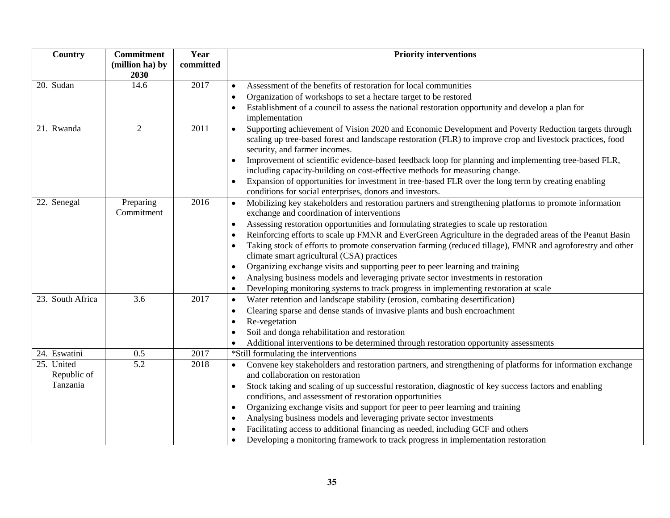| Country          | <b>Commitment</b><br>(million ha) by | Year<br>committed | <b>Priority interventions</b>                                                                                                                                                                                                                                    |
|------------------|--------------------------------------|-------------------|------------------------------------------------------------------------------------------------------------------------------------------------------------------------------------------------------------------------------------------------------------------|
|                  | 2030                                 |                   |                                                                                                                                                                                                                                                                  |
| 20. Sudan        | 14.6                                 | 2017              | Assessment of the benefits of restoration for local communities<br>$\bullet$                                                                                                                                                                                     |
|                  |                                      |                   | Organization of workshops to set a hectare target to be restored<br>$\bullet$                                                                                                                                                                                    |
|                  |                                      |                   | Establishment of a council to assess the national restoration opportunity and develop a plan for                                                                                                                                                                 |
|                  |                                      |                   | implementation                                                                                                                                                                                                                                                   |
| 21. Rwanda       | $\overline{2}$                       | 2011              | Supporting achievement of Vision 2020 and Economic Development and Poverty Reduction targets through<br>$\bullet$<br>scaling up tree-based forest and landscape restoration (FLR) to improve crop and livestock practices, food<br>security, and farmer incomes. |
|                  |                                      |                   | Improvement of scientific evidence-based feedback loop for planning and implementing tree-based FLR,<br>$\bullet$                                                                                                                                                |
|                  |                                      |                   | including capacity-building on cost-effective methods for measuring change.                                                                                                                                                                                      |
|                  |                                      |                   | Expansion of opportunities for investment in tree-based FLR over the long term by creating enabling<br>$\bullet$<br>conditions for social enterprises, donors and investors.                                                                                     |
| 22. Senegal      | Preparing                            | 2016              | Mobilizing key stakeholders and restoration partners and strengthening platforms to promote information<br>$\bullet$                                                                                                                                             |
|                  | Commitment                           |                   | exchange and coordination of interventions                                                                                                                                                                                                                       |
|                  |                                      |                   | Assessing restoration opportunities and formulating strategies to scale up restoration<br>$\bullet$                                                                                                                                                              |
|                  |                                      |                   | Reinforcing efforts to scale up FMNR and EverGreen Agriculture in the degraded areas of the Peanut Basin                                                                                                                                                         |
|                  |                                      |                   | Taking stock of efforts to promote conservation farming (reduced tillage), FMNR and agroforestry and other                                                                                                                                                       |
|                  |                                      |                   | climate smart agricultural (CSA) practices                                                                                                                                                                                                                       |
|                  |                                      |                   | Organizing exchange visits and supporting peer to peer learning and training<br>$\bullet$                                                                                                                                                                        |
|                  |                                      |                   | Analysing business models and leveraging private sector investments in restoration                                                                                                                                                                               |
|                  |                                      |                   | Developing monitoring systems to track progress in implementing restoration at scale<br>$\bullet$                                                                                                                                                                |
| 23. South Africa | 3.6                                  | 2017              | Water retention and landscape stability (erosion, combating desertification)<br>$\bullet$                                                                                                                                                                        |
|                  |                                      |                   | Clearing sparse and dense stands of invasive plants and bush encroachment                                                                                                                                                                                        |
|                  |                                      |                   | Re-vegetation                                                                                                                                                                                                                                                    |
|                  |                                      |                   | Soil and donga rehabilitation and restoration                                                                                                                                                                                                                    |
|                  |                                      |                   | Additional interventions to be determined through restoration opportunity assessments                                                                                                                                                                            |
| 24. Eswatini     | 0.5                                  | 2017              | *Still formulating the interventions                                                                                                                                                                                                                             |
| 25. United       | 5.2                                  | 2018              | Convene key stakeholders and restoration partners, and strengthening of platforms for information exchange<br>$\bullet$                                                                                                                                          |
| Republic of      |                                      |                   | and collaboration on restoration                                                                                                                                                                                                                                 |
| Tanzania         |                                      |                   | Stock taking and scaling of up successful restoration, diagnostic of key success factors and enabling<br>$\bullet$                                                                                                                                               |
|                  |                                      |                   | conditions, and assessment of restoration opportunities                                                                                                                                                                                                          |
|                  |                                      |                   | Organizing exchange visits and support for peer to peer learning and training<br>$\bullet$                                                                                                                                                                       |
|                  |                                      |                   | Analysing business models and leveraging private sector investments<br>$\bullet$                                                                                                                                                                                 |
|                  |                                      |                   | Facilitating access to additional financing as needed, including GCF and others                                                                                                                                                                                  |
|                  |                                      |                   | Developing a monitoring framework to track progress in implementation restoration                                                                                                                                                                                |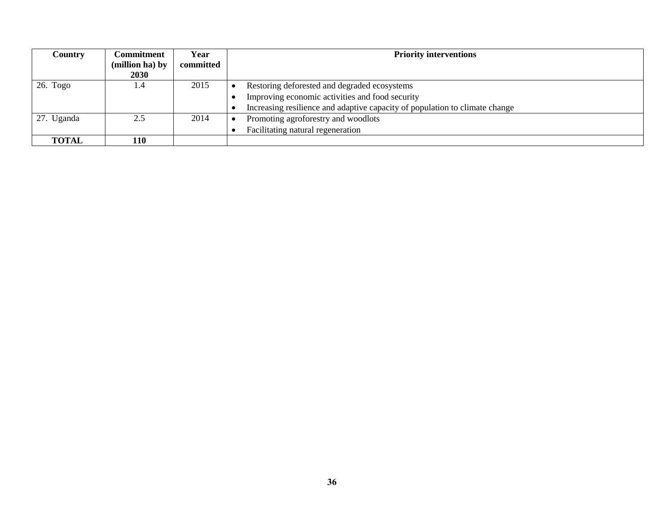| <b>Country</b> | Commitment<br>(million ha) by | Year<br>committed | <b>Priority interventions</b>                                               |
|----------------|-------------------------------|-------------------|-----------------------------------------------------------------------------|
|                | <b>2030</b>                   |                   |                                                                             |
| $26.$ Togo     | 1.4                           | 2015              | Restoring deforested and degraded ecosystems                                |
|                |                               |                   | Improving economic activities and food security                             |
|                |                               |                   | Increasing resilience and adaptive capacity of population to climate change |
| 27. Uganda     | 2.5                           | 2014              | Promoting agroforestry and woodlots                                         |
|                |                               |                   | Facilitating natural regeneration                                           |
| <b>TOTAL</b>   | 110                           |                   |                                                                             |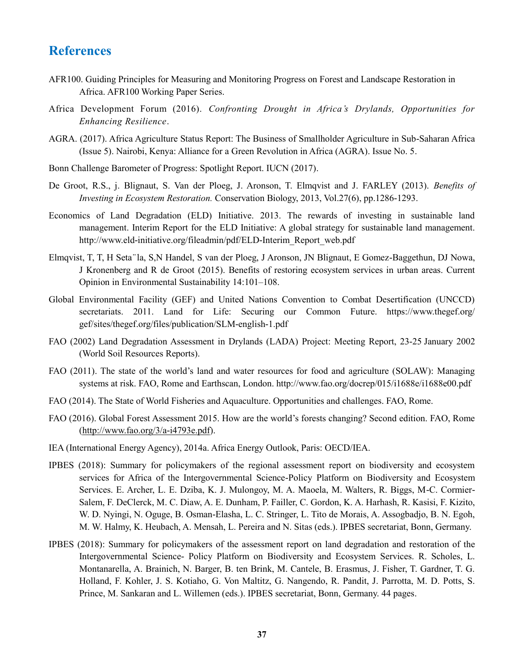## **References**

- AFR100. Guiding Principles for Measuring and Monitoring Progress on Forest and Landscape Restoration in Africa. AFR100 Working Paper Series.
- Africa Development Forum (2016). *Confronting Drought in Africa's Drylands, Opportunities for Enhancing Resilience*.
- AGRA. (2017). Africa Agriculture Status Report: The Business of Smallholder Agriculture in Sub-Saharan Africa (Issue 5). Nairobi, Kenya: Alliance for a Green Revolution in Africa (AGRA). Issue No. 5.
- Bonn Challenge Barometer of Progress: Spotlight Report. IUCN (2017).
- De Groot, R.S., j. Blignaut, S. Van der Ploeg, J. Aronson, T. Elmqvist and J. FARLEY (2013). *Benefits of Investing in Ecosystem Restoration.* Conservation Biology, 2013, Vol.27(6), pp.1286-1293.
- Economics of Land Degradation (ELD) Initiative. 2013. The rewards of investing in sustainable land management. Interim Report for the ELD Initiative: A global strategy for sustainable land management. http://www.eld-initiative.org/fileadmin/pdf/ELD-Interim\_Report\_web.pdf
- Elmqvist, T, T, H Seta ̈ la, S,N Handel, S van der Ploeg, J Aronson, JN Blignaut, E Gomez-Baggethun, DJ Nowa, J Kronenberg and R de Groot (2015). Benefits of restoring ecosystem services in urban areas. Current Opinion in Environmental Sustainability 14:101–108.
- Global Environmental Facility (GEF) and United Nations Convention to Combat Desertification (UNCCD) secretariats. 2011. Land for Life: Securing our Common Future. https://www.thegef.org/ gef/sites/thegef.org/files/publication/SLM-english-1.pdf
- FAO (2002) Land Degradation Assessment in Drylands (LADA) Project: Meeting Report, 23-25 January 2002 (World Soil Resources Reports).
- FAO (2011). The state of the world's land and water resources for food and agriculture (SOLAW): Managing systems at risk. FAO, Rome and Earthscan, London. http://www.fao.org/docrep/015/i1688e/i1688e00.pdf
- FAO (2014). The State of World Fisheries and Aquaculture. Opportunities and challenges. FAO, Rome.
- FAO (2016). Global Forest Assessment 2015. How are the world's forests changing? Second edition. FAO, Rome [\(http://www.fao.org/3/a-i4793e.pdf\)](http://www.fao.org/3/a-i4793e.pdf).
- IEA (International Energy Agency), 2014a. Africa Energy Outlook, Paris: OECD/IEA.
- IPBES (2018): Summary for policymakers of the regional assessment report on biodiversity and ecosystem services for Africa of the Intergovernmental Science-Policy Platform on Biodiversity and Ecosystem Services. E. Archer, L. E. Dziba, K. J. Mulongoy, M. A. Maoela, M. Walters, R. Biggs, M-C. Cormier-Salem, F. DeClerck, M. C. Diaw, A. E. Dunham, P. Failler, C. Gordon, K. A. Harhash, R. Kasisi, F. Kizito, W. D. Nyingi, N. Oguge, B. Osman-Elasha, L. C. Stringer, L. Tito de Morais, A. Assogbadjo, B. N. Egoh, M. W. Halmy, K. Heubach, A. Mensah, L. Pereira and N. Sitas (eds.). IPBES secretariat, Bonn, Germany.
- IPBES (2018): Summary for policymakers of the assessment report on land degradation and restoration of the Intergovernmental Science- Policy Platform on Biodiversity and Ecosystem Services. R. Scholes, L. Montanarella, A. Brainich, N. Barger, B. ten Brink, M. Cantele, B. Erasmus, J. Fisher, T. Gardner, T. G. Holland, F. Kohler, J. S. Kotiaho, G. Von Maltitz, G. Nangendo, R. Pandit, J. Parrotta, M. D. Potts, S. Prince, M. Sankaran and L. Willemen (eds.). IPBES secretariat, Bonn, Germany. 44 pages.